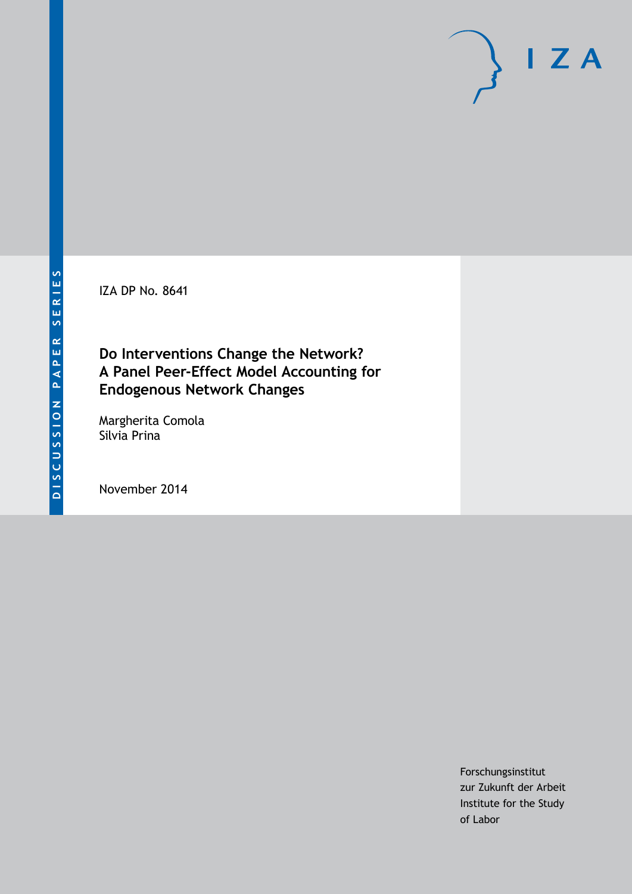IZA DP No. 8641

# **Do Interventions Change the Network? A Panel Peer-Effect Model Accounting for Endogenous Network Changes**

Margherita Comola Silvia Prina

November 2014

Forschungsinstitut zur Zukunft der Arbeit Institute for the Study of Labor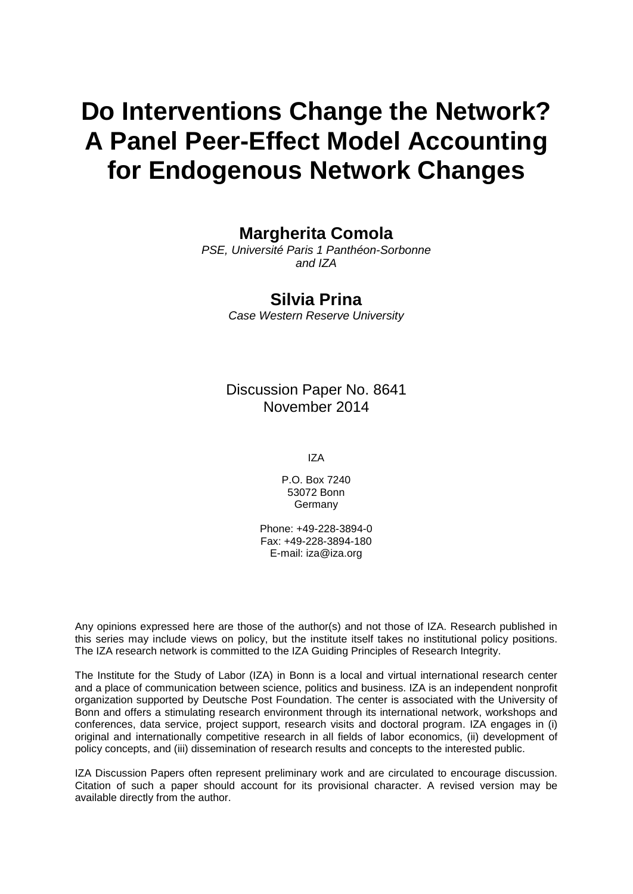# **Do Interventions Change the Network? A Panel Peer-Effect Model Accounting for Endogenous Network Changes**

# **Margherita Comola**

*PSE, Université Paris 1 Panthéon-Sorbonne and IZA*

## **Silvia Prina**

*Case Western Reserve University*

Discussion Paper No. 8641 November 2014

IZA

P.O. Box 7240 53072 Bonn **Germany** 

Phone: +49-228-3894-0 Fax: +49-228-3894-180 E-mail: [iza@iza.org](mailto:iza@iza.org)

Any opinions expressed here are those of the author(s) and not those of IZA. Research published in this series may include views on policy, but the institute itself takes no institutional policy positions. The IZA research network is committed to the IZA Guiding Principles of Research Integrity.

The Institute for the Study of Labor (IZA) in Bonn is a local and virtual international research center and a place of communication between science, politics and business. IZA is an independent nonprofit organization supported by Deutsche Post Foundation. The center is associated with the University of Bonn and offers a stimulating research environment through its international network, workshops and conferences, data service, project support, research visits and doctoral program. IZA engages in (i) original and internationally competitive research in all fields of labor economics, (ii) development of policy concepts, and (iii) dissemination of research results and concepts to the interested public.

<span id="page-1-0"></span>IZA Discussion Papers often represent preliminary work and are circulated to encourage discussion. Citation of such a paper should account for its provisional character. A revised version may be available directly from the author.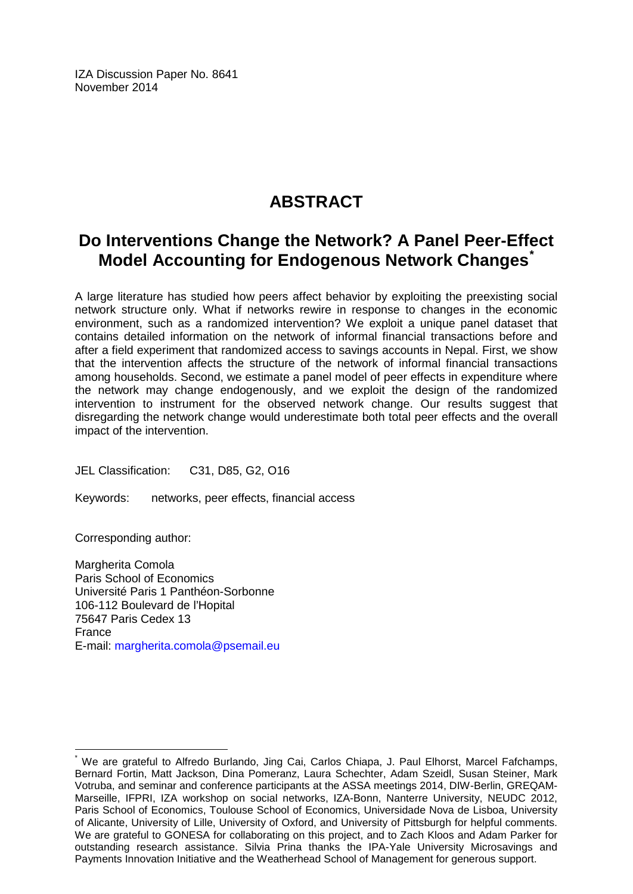IZA Discussion Paper No. 8641 November 2014

# **ABSTRACT**

# **Do Interventions Change the Network? A Panel Peer-Effect Model Accounting for Endogenous Network Changes[\\*](#page-1-0)**

A large literature has studied how peers affect behavior by exploiting the preexisting social network structure only. What if networks rewire in response to changes in the economic environment, such as a randomized intervention? We exploit a unique panel dataset that contains detailed information on the network of informal financial transactions before and after a field experiment that randomized access to savings accounts in Nepal. First, we show that the intervention affects the structure of the network of informal financial transactions among households. Second, we estimate a panel model of peer effects in expenditure where the network may change endogenously, and we exploit the design of the randomized intervention to instrument for the observed network change. Our results suggest that disregarding the network change would underestimate both total peer effects and the overall impact of the intervention.

JEL Classification: C31, D85, G2, O16

Keywords: networks, peer effects, financial access

Corresponding author:

Margherita Comola Paris School of Economics Université Paris 1 Panthéon-Sorbonne 106-112 Boulevard de l'Hopital 75647 Paris Cedex 13 France E-mail: [margherita.comola@psemail.eu](mailto:margherita.comola@psemail.eu)

We are grateful to Alfredo Burlando, Jing Cai, Carlos Chiapa, J. Paul Elhorst, Marcel Fafchamps, Bernard Fortin, Matt Jackson, Dina Pomeranz, Laura Schechter, Adam Szeidl, Susan Steiner, Mark Votruba, and seminar and conference participants at the ASSA meetings 2014, DIW-Berlin, GREQAM-Marseille, IFPRI, IZA workshop on social networks, IZA-Bonn, Nanterre University, NEUDC 2012, Paris School of Economics, Toulouse School of Economics, Universidade Nova de Lisboa, University of Alicante, University of Lille, University of Oxford, and University of Pittsburgh for helpful comments. We are grateful to GONESA for collaborating on this project, and to Zach Kloos and Adam Parker for outstanding research assistance. Silvia Prina thanks the IPA-Yale University Microsavings and Payments Innovation Initiative and the Weatherhead School of Management for generous support.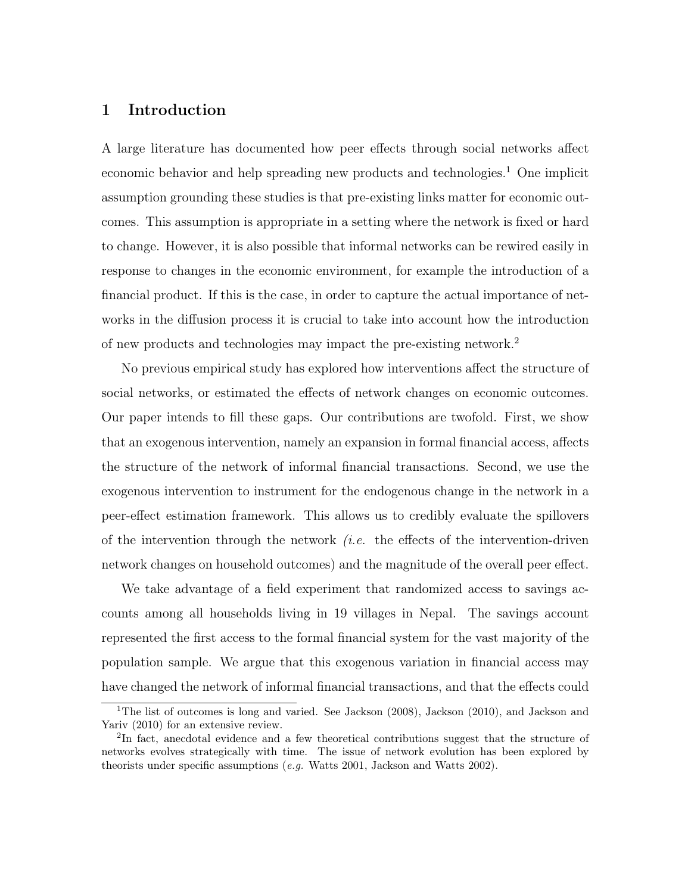### 1 Introduction

A large literature has documented how peer effects through social networks affect economic behavior and help spreading new products and technologies.<sup>1</sup> One implicit assumption grounding these studies is that pre-existing links matter for economic outcomes. This assumption is appropriate in a setting where the network is fixed or hard to change. However, it is also possible that informal networks can be rewired easily in response to changes in the economic environment, for example the introduction of a financial product. If this is the case, in order to capture the actual importance of networks in the diffusion process it is crucial to take into account how the introduction of new products and technologies may impact the pre-existing network.<sup>2</sup>

No previous empirical study has explored how interventions affect the structure of social networks, or estimated the effects of network changes on economic outcomes. Our paper intends to fill these gaps. Our contributions are twofold. First, we show that an exogenous intervention, namely an expansion in formal financial access, affects the structure of the network of informal financial transactions. Second, we use the exogenous intervention to instrument for the endogenous change in the network in a peer-effect estimation framework. This allows us to credibly evaluate the spillovers of the intervention through the network  $(i.e.$  the effects of the intervention-driven network changes on household outcomes) and the magnitude of the overall peer effect.

We take advantage of a field experiment that randomized access to savings accounts among all households living in 19 villages in Nepal. The savings account represented the first access to the formal financial system for the vast majority of the population sample. We argue that this exogenous variation in financial access may have changed the network of informal financial transactions, and that the effects could

<sup>&</sup>lt;sup>1</sup>The list of outcomes is long and varied. See Jackson  $(2008)$ , Jackson  $(2010)$ , and Jackson and Yariv (2010) for an extensive review.

<sup>&</sup>lt;sup>2</sup>In fact, anecdotal evidence and a few theoretical contributions suggest that the structure of networks evolves strategically with time. The issue of network evolution has been explored by theorists under specific assumptions (e.g. Watts 2001, Jackson and Watts 2002).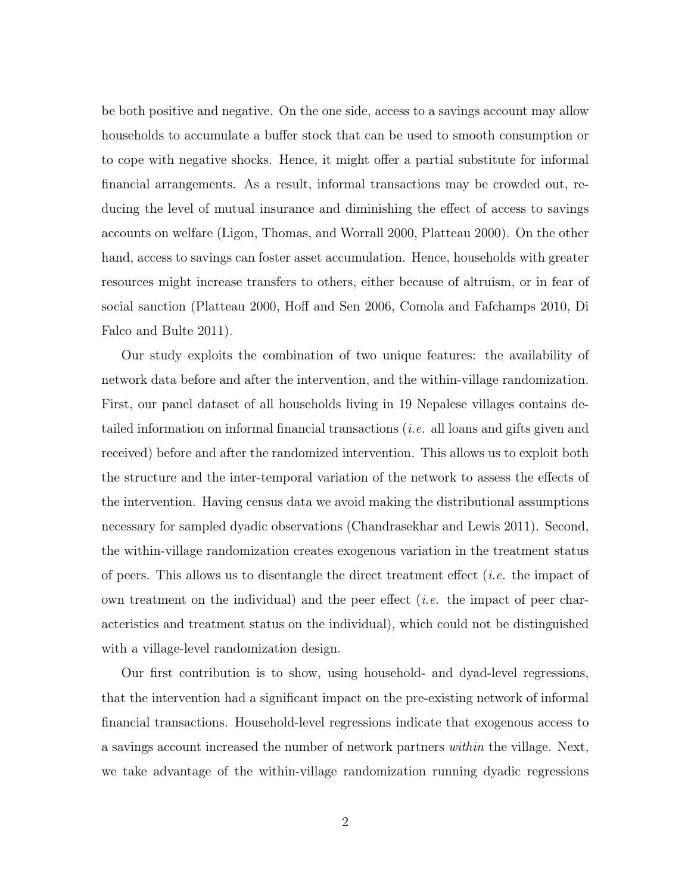be both positive and negative. On the one side, access to a savings account may allow households to accumulate a buffer stock that can be used to smooth consumption or to cope with negative shocks. Hence, it might offer a partial substitute for informal financial arrangements. As a result, informal transactions may be crowded out, reducing the level of mutual insurance and diminishing the effect of access to savings accounts on welfare (Ligon, Thomas, and Worrall 2000, Platteau 2000). On the other hand, access to savings can foster asset accumulation. Hence, households with greater resources might increase transfers to others, either because of altruism, or in fear of social sanction (Platteau 2000, Hoff and Sen 2006, Comola and Fafchamps 2010, Di Falco and Bulte 2011).

Our study exploits the combination of two unique features: the availability of network data before and after the intervention, and the within-village randomization. First, our panel dataset of all households living in 19 Nepalese villages contains detailed information on informal financial transactions (i.e. all loans and gifts given and received) before and after the randomized intervention. This allows us to exploit both the structure and the inter-temporal variation of the network to assess the effects of the intervention. Having census data we avoid making the distributional assumptions necessary for sampled dyadic observations (Chandrasekhar and Lewis 2011). Second, the within-village randomization creates exogenous variation in the treatment status of peers. This allows us to disentangle the direct treatment effect (*i.e.* the impact of own treatment on the individual) and the peer effect (i.e. the impact of peer characteristics and treatment status on the individual), which could not be distinguished with a village-level randomization design.

Our first contribution is to show, using household- and dyad-level regressions, that the intervention had a significant impact on the pre-existing network of informal financial transactions. Household-level regressions indicate that exogenous access to a savings account increased the number of network partners within the village. Next, we take advantage of the within-village randomization running dyadic regressions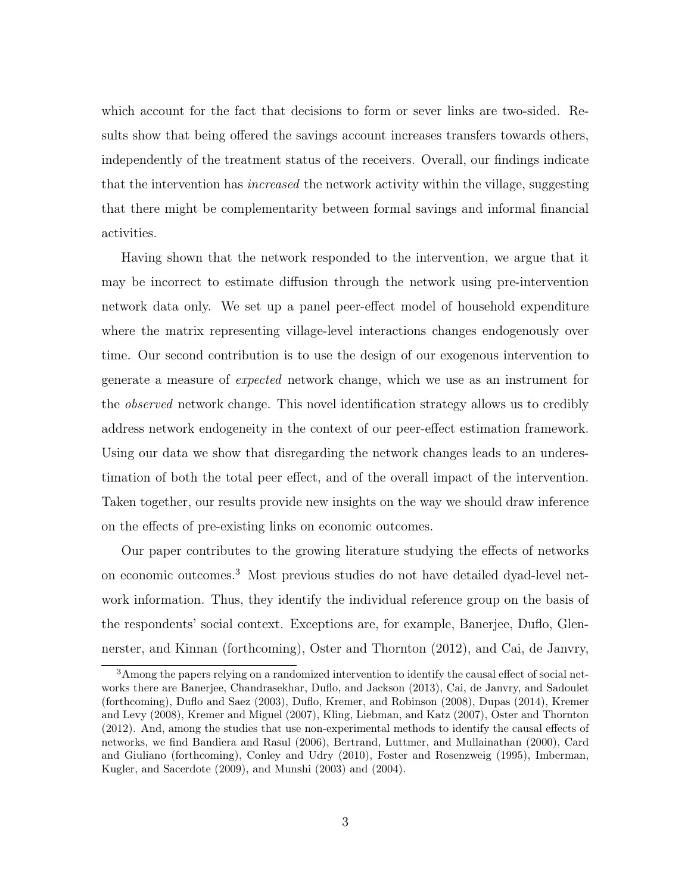which account for the fact that decisions to form or sever links are two-sided. Results show that being offered the savings account increases transfers towards others, independently of the treatment status of the receivers. Overall, our findings indicate that the intervention has *increased* the network activity within the village, suggesting that there might be complementarity between formal savings and informal financial activities.

Having shown that the network responded to the intervention, we argue that it may be incorrect to estimate diffusion through the network using pre-intervention network data only. We set up a panel peer-effect model of household expenditure where the matrix representing village-level interactions changes endogenously over time. Our second contribution is to use the design of our exogenous intervention to generate a measure of expected network change, which we use as an instrument for the observed network change. This novel identification strategy allows us to credibly address network endogeneity in the context of our peer-effect estimation framework. Using our data we show that disregarding the network changes leads to an underestimation of both the total peer effect, and of the overall impact of the intervention. Taken together, our results provide new insights on the way we should draw inference on the effects of pre-existing links on economic outcomes.

Our paper contributes to the growing literature studying the effects of networks on economic outcomes.<sup>3</sup> Most previous studies do not have detailed dyad-level network information. Thus, they identify the individual reference group on the basis of the respondents' social context. Exceptions are, for example, Banerjee, Duflo, Glennerster, and Kinnan (forthcoming), Oster and Thornton (2012), and Cai, de Janvry,

<sup>3</sup>Among the papers relying on a randomized intervention to identify the causal effect of social networks there are Banerjee, Chandrasekhar, Duflo, and Jackson (2013), Cai, de Janvry, and Sadoulet (forthcoming), Duflo and Saez (2003), Duflo, Kremer, and Robinson (2008), Dupas (2014), Kremer and Levy (2008), Kremer and Miguel (2007), Kling, Liebman, and Katz (2007), Oster and Thornton (2012). And, among the studies that use non-experimental methods to identify the causal effects of networks, we find Bandiera and Rasul (2006), Bertrand, Luttmer, and Mullainathan (2000), Card and Giuliano (forthcoming), Conley and Udry (2010), Foster and Rosenzweig (1995), Imberman, Kugler, and Sacerdote (2009), and Munshi (2003) and (2004).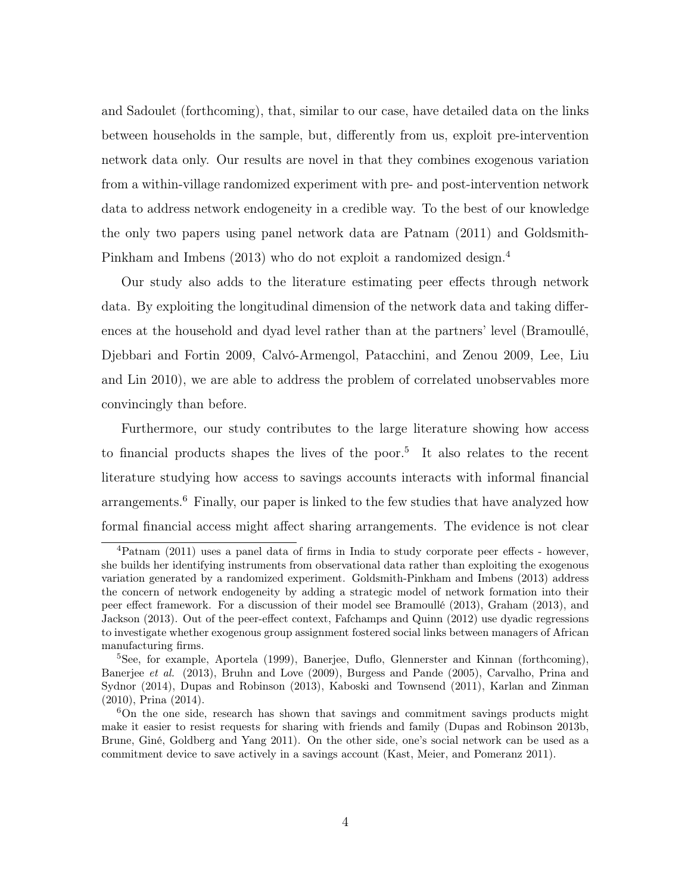and Sadoulet (forthcoming), that, similar to our case, have detailed data on the links between households in the sample, but, differently from us, exploit pre-intervention network data only. Our results are novel in that they combines exogenous variation from a within-village randomized experiment with pre- and post-intervention network data to address network endogeneity in a credible way. To the best of our knowledge the only two papers using panel network data are Patnam (2011) and Goldsmith-Pinkham and Imbens (2013) who do not exploit a randomized design.<sup>4</sup>

Our study also adds to the literature estimating peer effects through network data. By exploiting the longitudinal dimension of the network data and taking differences at the household and dyad level rather than at the partners' level (Bramoullé, Djebbari and Fortin 2009, Calvó-Armengol, Patacchini, and Zenou 2009, Lee, Liu and Lin 2010), we are able to address the problem of correlated unobservables more convincingly than before.

Furthermore, our study contributes to the large literature showing how access to financial products shapes the lives of the poor.<sup>5</sup> It also relates to the recent literature studying how access to savings accounts interacts with informal financial arrangements.<sup>6</sup> Finally, our paper is linked to the few studies that have analyzed how formal financial access might affect sharing arrangements. The evidence is not clear

<sup>4</sup>Patnam (2011) uses a panel data of firms in India to study corporate peer effects - however, she builds her identifying instruments from observational data rather than exploiting the exogenous variation generated by a randomized experiment. Goldsmith-Pinkham and Imbens (2013) address the concern of network endogeneity by adding a strategic model of network formation into their peer effect framework. For a discussion of their model see Bramoullé (2013), Graham (2013), and Jackson (2013). Out of the peer-effect context, Fafchamps and Quinn (2012) use dyadic regressions to investigate whether exogenous group assignment fostered social links between managers of African manufacturing firms.

<sup>5</sup>See, for example, Aportela (1999), Banerjee, Duflo, Glennerster and Kinnan (forthcoming), Banerjee et al. (2013), Bruhn and Love (2009), Burgess and Pande (2005), Carvalho, Prina and Sydnor (2014), Dupas and Robinson (2013), Kaboski and Townsend (2011), Karlan and Zinman (2010), Prina (2014).

<sup>6</sup>On the one side, research has shown that savings and commitment savings products might make it easier to resist requests for sharing with friends and family (Dupas and Robinson 2013b, Brune, Giné, Goldberg and Yang 2011). On the other side, one's social network can be used as a commitment device to save actively in a savings account (Kast, Meier, and Pomeranz 2011).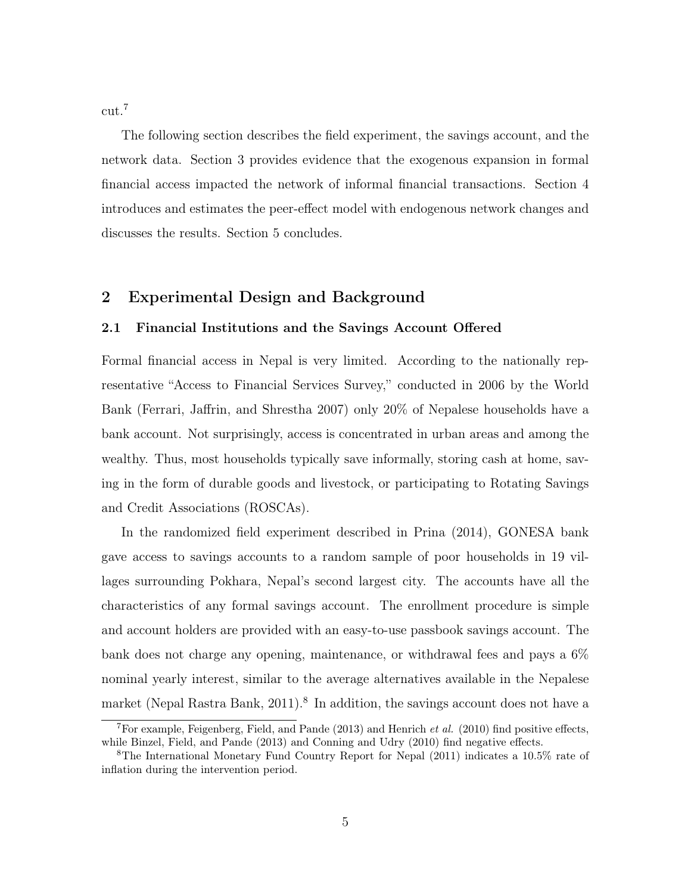cut.<sup>7</sup>

The following section describes the field experiment, the savings account, and the network data. Section 3 provides evidence that the exogenous expansion in formal financial access impacted the network of informal financial transactions. Section 4 introduces and estimates the peer-effect model with endogenous network changes and discusses the results. Section 5 concludes.

### 2 Experimental Design and Background

#### 2.1 Financial Institutions and the Savings Account Offered

Formal financial access in Nepal is very limited. According to the nationally representative "Access to Financial Services Survey," conducted in 2006 by the World Bank (Ferrari, Jaffrin, and Shrestha 2007) only 20% of Nepalese households have a bank account. Not surprisingly, access is concentrated in urban areas and among the wealthy. Thus, most households typically save informally, storing cash at home, saving in the form of durable goods and livestock, or participating to Rotating Savings and Credit Associations (ROSCAs).

In the randomized field experiment described in Prina (2014), GONESA bank gave access to savings accounts to a random sample of poor households in 19 villages surrounding Pokhara, Nepal's second largest city. The accounts have all the characteristics of any formal savings account. The enrollment procedure is simple and account holders are provided with an easy-to-use passbook savings account. The bank does not charge any opening, maintenance, or withdrawal fees and pays a 6% nominal yearly interest, similar to the average alternatives available in the Nepalese market (Nepal Rastra Bank, 2011).<sup>8</sup> In addition, the savings account does not have a

<sup>&</sup>lt;sup>7</sup>For example, Feigenberg, Field, and Pande (2013) and Henrich *et al.* (2010) find positive effects, while Binzel, Field, and Pande (2013) and Conning and Udry (2010) find negative effects.

<sup>8</sup>The International Monetary Fund Country Report for Nepal (2011) indicates a 10.5% rate of inflation during the intervention period.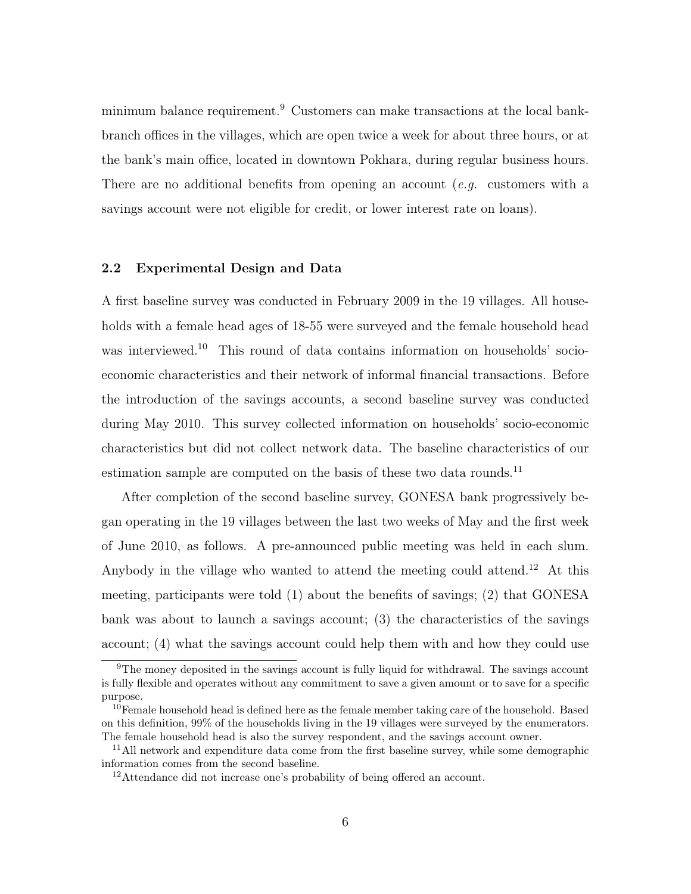minimum balance requirement.<sup>9</sup> Customers can make transactions at the local bankbranch offices in the villages, which are open twice a week for about three hours, or at the bank's main office, located in downtown Pokhara, during regular business hours. There are no additional benefits from opening an account (*e.g.* customers with a savings account were not eligible for credit, or lower interest rate on loans).

#### 2.2 Experimental Design and Data

A first baseline survey was conducted in February 2009 in the 19 villages. All households with a female head ages of 18-55 were surveyed and the female household head was interviewed.<sup>10</sup> This round of data contains information on households' socioeconomic characteristics and their network of informal financial transactions. Before the introduction of the savings accounts, a second baseline survey was conducted during May 2010. This survey collected information on households' socio-economic characteristics but did not collect network data. The baseline characteristics of our estimation sample are computed on the basis of these two data rounds.<sup>11</sup>

After completion of the second baseline survey, GONESA bank progressively began operating in the 19 villages between the last two weeks of May and the first week of June 2010, as follows. A pre-announced public meeting was held in each slum. Anybody in the village who wanted to attend the meeting could attend.<sup>12</sup> At this meeting, participants were told (1) about the benefits of savings; (2) that GONESA bank was about to launch a savings account; (3) the characteristics of the savings account; (4) what the savings account could help them with and how they could use

<sup>&</sup>lt;sup>9</sup>The money deposited in the savings account is fully liquid for withdrawal. The savings account is fully flexible and operates without any commitment to save a given amount or to save for a specific purpose.

<sup>&</sup>lt;sup>10</sup>Female household head is defined here as the female member taking care of the household. Based on this definition, 99% of the households living in the 19 villages were surveyed by the enumerators. The female household head is also the survey respondent, and the savings account owner.

<sup>&</sup>lt;sup>11</sup>All network and expenditure data come from the first baseline survey, while some demographic information comes from the second baseline.

<sup>&</sup>lt;sup>12</sup>Attendance did not increase one's probability of being offered an account.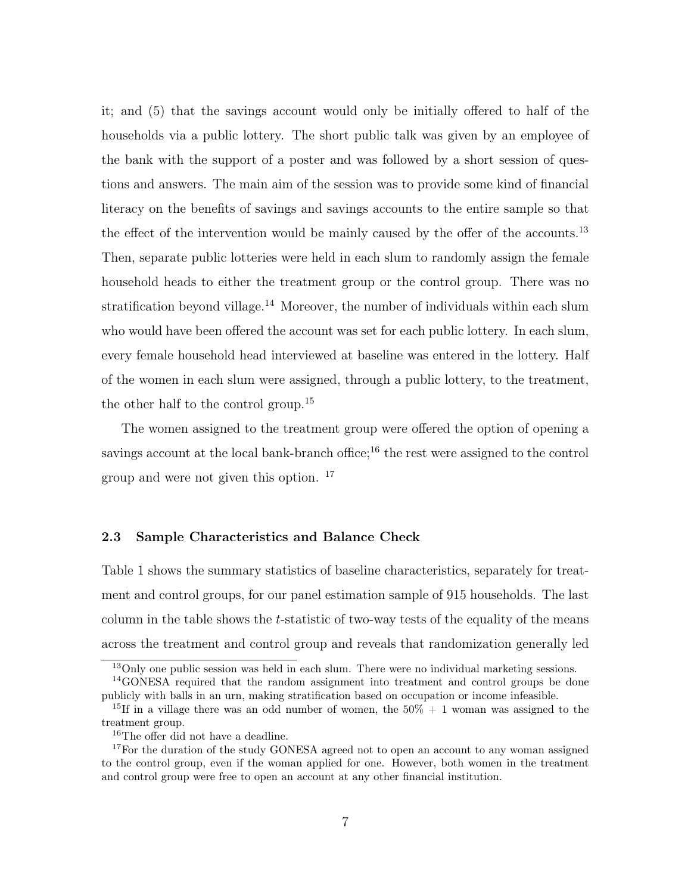it; and (5) that the savings account would only be initially offered to half of the households via a public lottery. The short public talk was given by an employee of the bank with the support of a poster and was followed by a short session of questions and answers. The main aim of the session was to provide some kind of financial literacy on the benefits of savings and savings accounts to the entire sample so that the effect of the intervention would be mainly caused by the offer of the accounts.<sup>13</sup> Then, separate public lotteries were held in each slum to randomly assign the female household heads to either the treatment group or the control group. There was no stratification beyond village.<sup>14</sup> Moreover, the number of individuals within each slum who would have been offered the account was set for each public lottery. In each slum, every female household head interviewed at baseline was entered in the lottery. Half of the women in each slum were assigned, through a public lottery, to the treatment, the other half to the control group.<sup>15</sup>

The women assigned to the treatment group were offered the option of opening a savings account at the local bank-branch office;<sup>16</sup> the rest were assigned to the control group and were not given this option. <sup>17</sup>

#### 2.3 Sample Characteristics and Balance Check

Table 1 shows the summary statistics of baseline characteristics, separately for treatment and control groups, for our panel estimation sample of 915 households. The last column in the table shows the t-statistic of two-way tests of the equality of the means across the treatment and control group and reveals that randomization generally led

<sup>13</sup>Only one public session was held in each slum. There were no individual marketing sessions.

<sup>14</sup>GONESA required that the random assignment into treatment and control groups be done publicly with balls in an urn, making stratification based on occupation or income infeasible.

<sup>&</sup>lt;sup>15</sup>If in a village there was an odd number of women, the  $50\% + 1$  woman was assigned to the treatment group.

<sup>&</sup>lt;sup>16</sup>The offer did not have a deadline.

<sup>&</sup>lt;sup>17</sup>For the duration of the study GONESA agreed not to open an account to any woman assigned to the control group, even if the woman applied for one. However, both women in the treatment and control group were free to open an account at any other financial institution.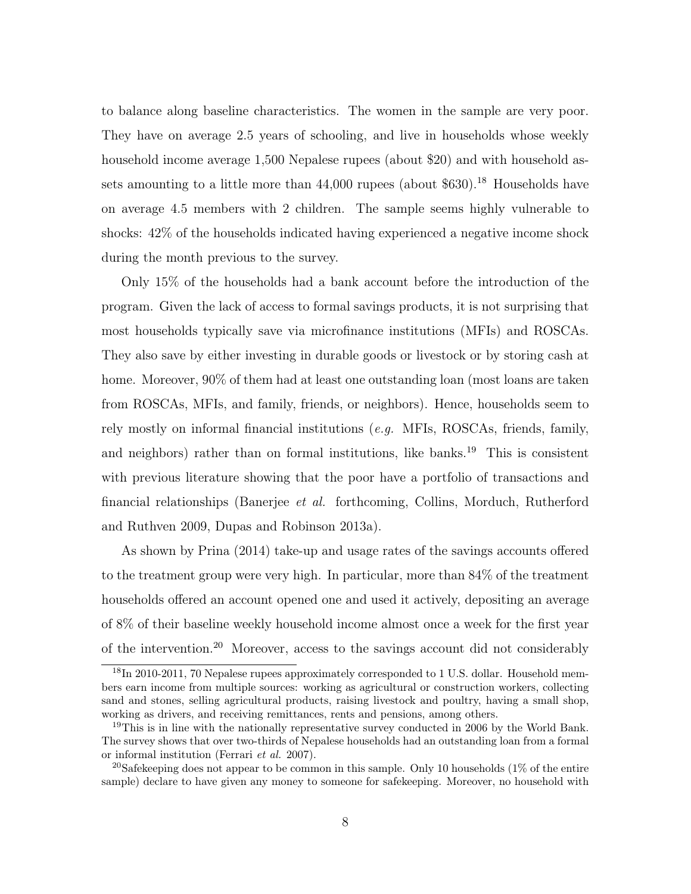to balance along baseline characteristics. The women in the sample are very poor. They have on average 2.5 years of schooling, and live in households whose weekly household income average 1,500 Nepalese rupees (about \$20) and with household assets amounting to a little more than  $44,000$  rupees (about \$630).<sup>18</sup> Households have on average 4.5 members with 2 children. The sample seems highly vulnerable to shocks: 42% of the households indicated having experienced a negative income shock during the month previous to the survey.

Only 15% of the households had a bank account before the introduction of the program. Given the lack of access to formal savings products, it is not surprising that most households typically save via microfinance institutions (MFIs) and ROSCAs. They also save by either investing in durable goods or livestock or by storing cash at home. Moreover, 90% of them had at least one outstanding loan (most loans are taken from ROSCAs, MFIs, and family, friends, or neighbors). Hence, households seem to rely mostly on informal financial institutions (e.g. MFIs, ROSCAs, friends, family, and neighbors) rather than on formal institutions, like banks.<sup>19</sup> This is consistent with previous literature showing that the poor have a portfolio of transactions and financial relationships (Banerjee et al. forthcoming, Collins, Morduch, Rutherford and Ruthven 2009, Dupas and Robinson 2013a).

As shown by Prina (2014) take-up and usage rates of the savings accounts offered to the treatment group were very high. In particular, more than 84% of the treatment households offered an account opened one and used it actively, depositing an average of 8% of their baseline weekly household income almost once a week for the first year of the intervention.<sup>20</sup> Moreover, access to the savings account did not considerably

<sup>&</sup>lt;sup>18</sup>In 2010-2011, 70 Nepalese rupees approximately corresponded to 1 U.S. dollar. Household members earn income from multiple sources: working as agricultural or construction workers, collecting sand and stones, selling agricultural products, raising livestock and poultry, having a small shop, working as drivers, and receiving remittances, rents and pensions, among others.

<sup>&</sup>lt;sup>19</sup>This is in line with the nationally representative survey conducted in 2006 by the World Bank. The survey shows that over two-thirds of Nepalese households had an outstanding loan from a formal or informal institution (Ferrari et al. 2007).

<sup>&</sup>lt;sup>20</sup>Safekeeping does not appear to be common in this sample. Only 10 households  $(1\%$  of the entire sample) declare to have given any money to someone for safekeeping. Moreover, no household with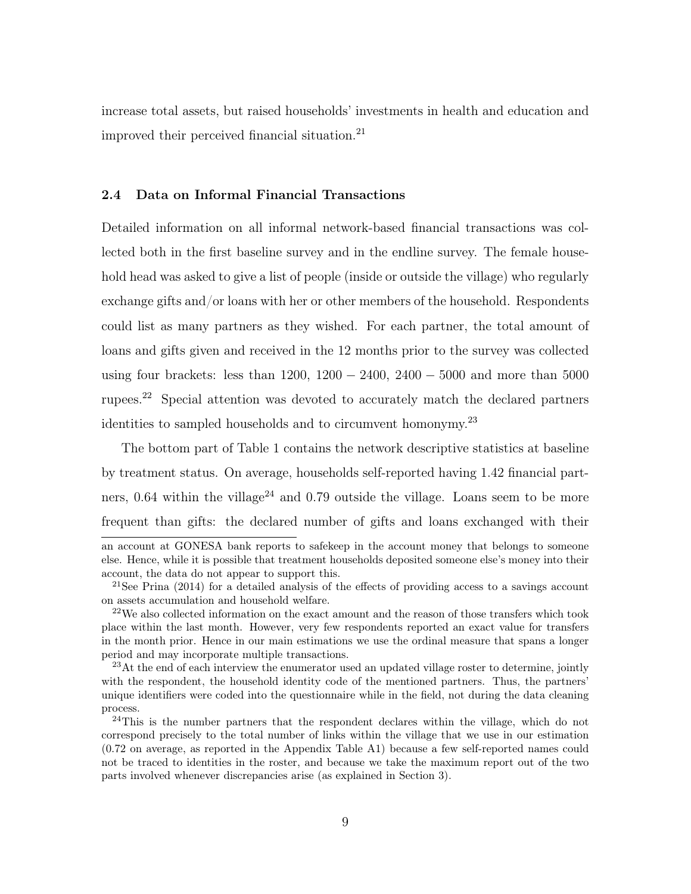increase total assets, but raised households' investments in health and education and improved their perceived financial situation.<sup>21</sup>

#### 2.4 Data on Informal Financial Transactions

Detailed information on all informal network-based financial transactions was collected both in the first baseline survey and in the endline survey. The female household head was asked to give a list of people (inside or outside the village) who regularly exchange gifts and/or loans with her or other members of the household. Respondents could list as many partners as they wished. For each partner, the total amount of loans and gifts given and received in the 12 months prior to the survey was collected using four brackets: less than  $1200, 1200 - 2400, 2400 - 5000$  and more than 5000 rupees.<sup>22</sup> Special attention was devoted to accurately match the declared partners identities to sampled households and to circumvent homonymy.<sup>23</sup>

The bottom part of Table 1 contains the network descriptive statistics at baseline by treatment status. On average, households self-reported having 1.42 financial partners, 0.64 within the village<sup>24</sup> and 0.79 outside the village. Loans seem to be more frequent than gifts: the declared number of gifts and loans exchanged with their

an account at GONESA bank reports to safekeep in the account money that belongs to someone else. Hence, while it is possible that treatment households deposited someone else's money into their account, the data do not appear to support this.

<sup>&</sup>lt;sup>21</sup>See Prina  $(2014)$  for a detailed analysis of the effects of providing access to a savings account on assets accumulation and household welfare.

 $^{22}$ We also collected information on the exact amount and the reason of those transfers which took place within the last month. However, very few respondents reported an exact value for transfers in the month prior. Hence in our main estimations we use the ordinal measure that spans a longer period and may incorporate multiple transactions.

<sup>&</sup>lt;sup>23</sup>At the end of each interview the enumerator used an updated village roster to determine, jointly with the respondent, the household identity code of the mentioned partners. Thus, the partners' unique identifiers were coded into the questionnaire while in the field, not during the data cleaning process.

 $24$ This is the number partners that the respondent declares within the village, which do not correspond precisely to the total number of links within the village that we use in our estimation (0.72 on average, as reported in the Appendix Table A1) because a few self-reported names could not be traced to identities in the roster, and because we take the maximum report out of the two parts involved whenever discrepancies arise (as explained in Section 3).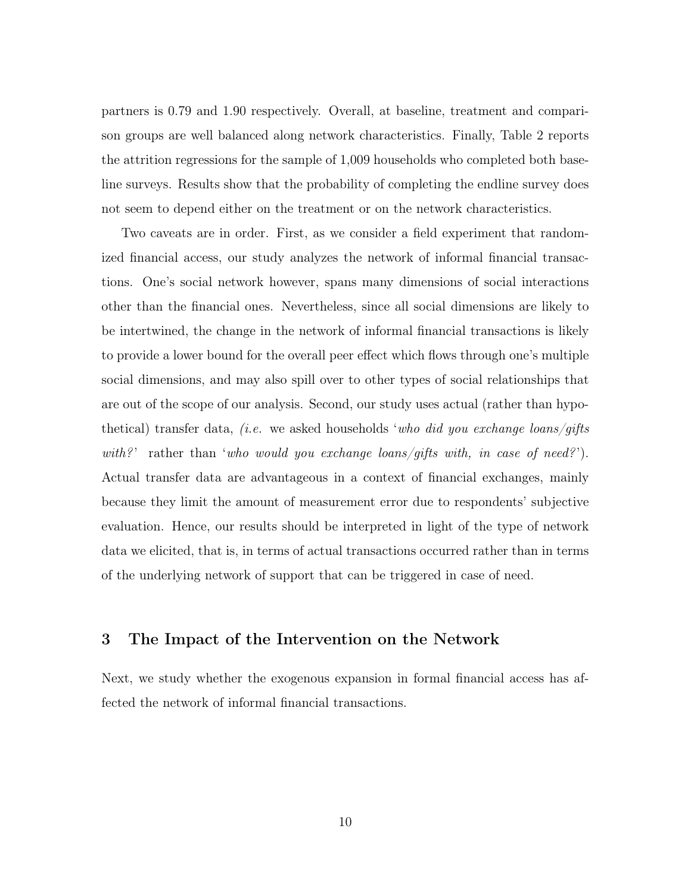partners is 0.79 and 1.90 respectively. Overall, at baseline, treatment and comparison groups are well balanced along network characteristics. Finally, Table 2 reports the attrition regressions for the sample of 1,009 households who completed both baseline surveys. Results show that the probability of completing the endline survey does not seem to depend either on the treatment or on the network characteristics.

Two caveats are in order. First, as we consider a field experiment that randomized financial access, our study analyzes the network of informal financial transactions. One's social network however, spans many dimensions of social interactions other than the financial ones. Nevertheless, since all social dimensions are likely to be intertwined, the change in the network of informal financial transactions is likely to provide a lower bound for the overall peer effect which flows through one's multiple social dimensions, and may also spill over to other types of social relationships that are out of the scope of our analysis. Second, our study uses actual (rather than hypothetical) transfer data, *(i.e.* we asked households 'who did you exchange loans/gifts with?' rather than 'who would you exchange loans/gifts with, in case of need?'). Actual transfer data are advantageous in a context of financial exchanges, mainly because they limit the amount of measurement error due to respondents' subjective evaluation. Hence, our results should be interpreted in light of the type of network data we elicited, that is, in terms of actual transactions occurred rather than in terms of the underlying network of support that can be triggered in case of need.

### 3 The Impact of the Intervention on the Network

Next, we study whether the exogenous expansion in formal financial access has affected the network of informal financial transactions.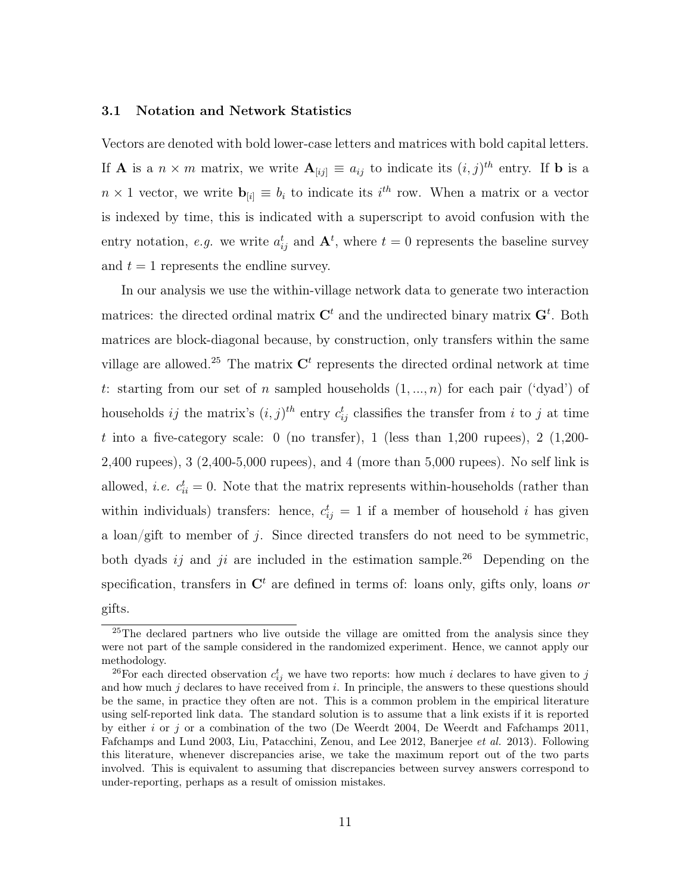#### 3.1 Notation and Network Statistics

Vectors are denoted with bold lower-case letters and matrices with bold capital letters. If **A** is a  $n \times m$  matrix, we write  $\mathbf{A}_{[ij]} \equiv a_{ij}$  to indicate its  $(i, j)^{th}$  entry. If **b** is a  $n \times 1$  vector, we write  $\mathbf{b}_{[i]} \equiv b_i$  to indicate its  $i^{th}$  row. When a matrix or a vector is indexed by time, this is indicated with a superscript to avoid confusion with the entry notation, *e.g.* we write  $a_{ij}^t$  and  $\mathbf{A}^t$ , where  $t = 0$  represents the baseline survey and  $t = 1$  represents the endline survey.

In our analysis we use the within-village network data to generate two interaction matrices: the directed ordinal matrix  $\mathbf{C}^t$  and the undirected binary matrix  $\mathbf{G}^t$ . Both matrices are block-diagonal because, by construction, only transfers within the same village are allowed.<sup>25</sup> The matrix  $\mathbf{C}^t$  represents the directed ordinal network at time t: starting from our set of n sampled households  $(1, ..., n)$  for each pair ('dyad') of households *ij* the matrix's  $(i, j)$ <sup>th</sup> entry  $c_{ij}^t$  classifies the transfer from *i* to *j* at time t into a five-category scale: 0 (no transfer), 1 (less than  $1,200$  rupees), 2 (1,200-2,400 rupees), 3 (2,400-5,000 rupees), and 4 (more than 5,000 rupees). No self link is allowed, *i.e.*  $c_{ii}^t = 0$ . Note that the matrix represents within-households (rather than within individuals) transfers: hence,  $c_{ij}^t = 1$  if a member of household i has given a loan/gift to member of j. Since directed transfers do not need to be symmetric, both dyads ij and ji are included in the estimation sample.<sup>26</sup> Depending on the specification, transfers in  $\mathbb{C}^t$  are defined in terms of: loans only, gifts only, loans or gifts.

<sup>&</sup>lt;sup>25</sup>The declared partners who live outside the village are omitted from the analysis since they were not part of the sample considered in the randomized experiment. Hence, we cannot apply our methodology.

<sup>&</sup>lt;sup>26</sup>For each directed observation  $c_{ij}^t$  we have two reports: how much i declares to have given to j and how much  $j$  declares to have received from i. In principle, the answers to these questions should be the same, in practice they often are not. This is a common problem in the empirical literature using self-reported link data. The standard solution is to assume that a link exists if it is reported by either i or j or a combination of the two (De Weerdt 2004, De Weerdt and Fafchamps 2011, Fafchamps and Lund 2003, Liu, Patacchini, Zenou, and Lee 2012, Banerjee et al. 2013). Following this literature, whenever discrepancies arise, we take the maximum report out of the two parts involved. This is equivalent to assuming that discrepancies between survey answers correspond to under-reporting, perhaps as a result of omission mistakes.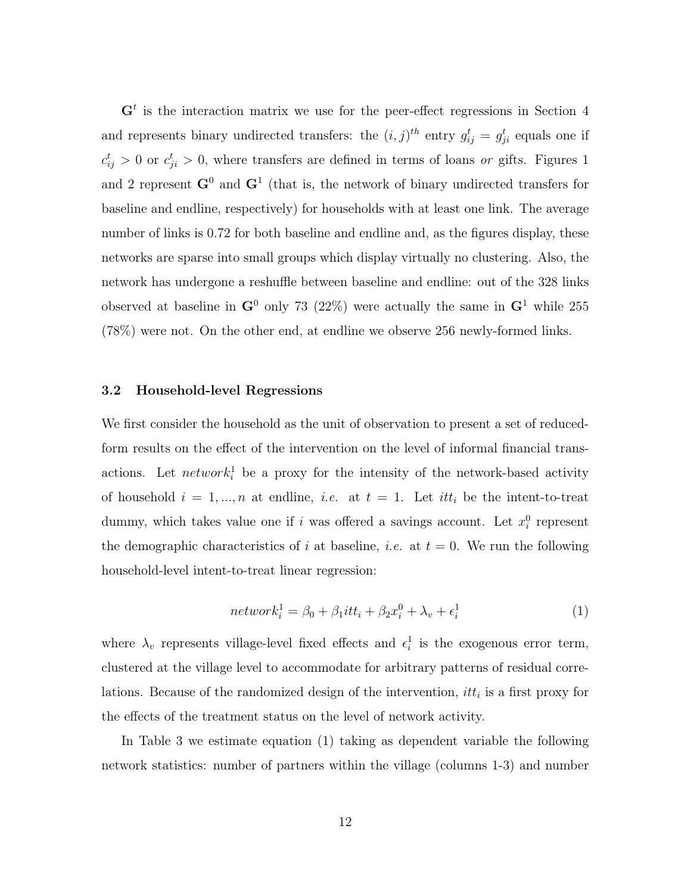$\mathbf{G}^t$  is the interaction matrix we use for the peer-effect regressions in Section 4 and represents binary undirected transfers: the  $(i, j)^{th}$  entry  $g_{ij}^t = g_{ji}^t$  equals one if  $c_{ij}^t > 0$  or  $c_{ji}^t > 0$ , where transfers are defined in terms of loans or gifts. Figures 1 and 2 represent  $G^0$  and  $G^1$  (that is, the network of binary undirected transfers for baseline and endline, respectively) for households with at least one link. The average number of links is 0.72 for both baseline and endline and, as the figures display, these networks are sparse into small groups which display virtually no clustering. Also, the network has undergone a reshuffle between baseline and endline: out of the 328 links observed at baseline in  $\mathbf{G}^0$  only 73 (22%) were actually the same in  $\mathbf{G}^1$  while 255 (78%) were not. On the other end, at endline we observe 256 newly-formed links.

#### 3.2 Household-level Regressions

We first consider the household as the unit of observation to present a set of reducedform results on the effect of the intervention on the level of informal financial transactions. Let  $network_i^1$  be a proxy for the intensity of the network-based activity of household  $i = 1, ..., n$  at endline, *i.e.* at  $t = 1$ . Let *itt<sub>i</sub>* be the intent-to-treat dummy, which takes value one if i was offered a savings account. Let  $x_i^0$  represent the demographic characteristics of i at baseline, i.e. at  $t = 0$ . We run the following household-level intent-to-treat linear regression:

$$
network_i^1 = \beta_0 + \beta_1 itt_i + \beta_2 x_i^0 + \lambda_v + \epsilon_i^1 \tag{1}
$$

where  $\lambda_v$  represents village-level fixed effects and  $\epsilon_i^1$  is the exogenous error term, clustered at the village level to accommodate for arbitrary patterns of residual correlations. Because of the randomized design of the intervention,  $it t_i$  is a first proxy for the effects of the treatment status on the level of network activity.

In Table 3 we estimate equation (1) taking as dependent variable the following network statistics: number of partners within the village (columns 1-3) and number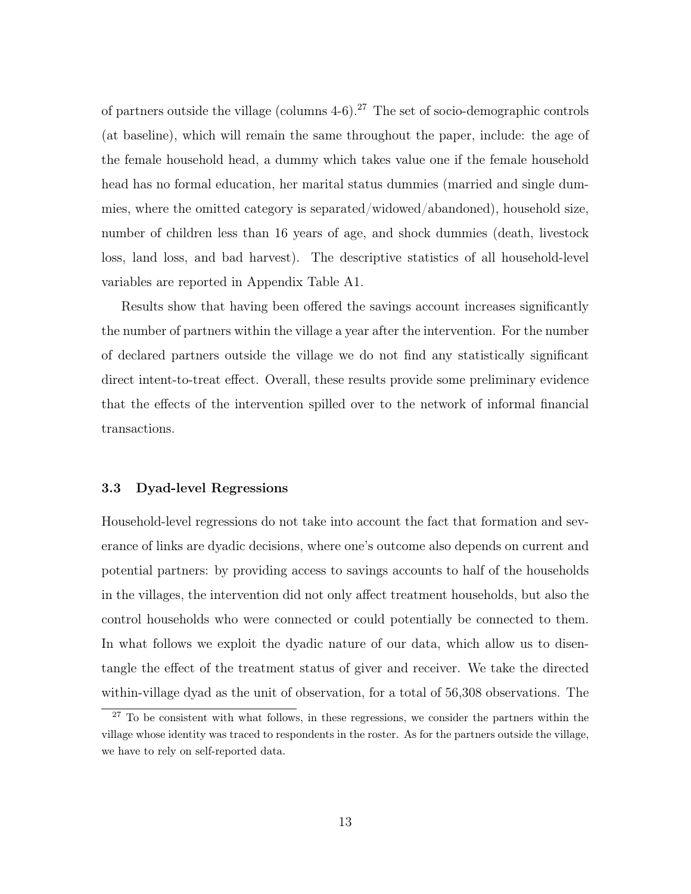of partners outside the village (columns  $4-6$ ).<sup>27</sup> The set of socio-demographic controls (at baseline), which will remain the same throughout the paper, include: the age of the female household head, a dummy which takes value one if the female household head has no formal education, her marital status dummies (married and single dummies, where the omitted category is separated/widowed/abandoned), household size, number of children less than 16 years of age, and shock dummies (death, livestock loss, land loss, and bad harvest). The descriptive statistics of all household-level variables are reported in Appendix Table A1.

Results show that having been offered the savings account increases significantly the number of partners within the village a year after the intervention. For the number of declared partners outside the village we do not find any statistically significant direct intent-to-treat effect. Overall, these results provide some preliminary evidence that the effects of the intervention spilled over to the network of informal financial transactions.

#### 3.3 Dyad-level Regressions

Household-level regressions do not take into account the fact that formation and severance of links are dyadic decisions, where one's outcome also depends on current and potential partners: by providing access to savings accounts to half of the households in the villages, the intervention did not only affect treatment households, but also the control households who were connected or could potentially be connected to them. In what follows we exploit the dyadic nature of our data, which allow us to disentangle the effect of the treatment status of giver and receiver. We take the directed within-village dyad as the unit of observation, for a total of 56,308 observations. The

<sup>&</sup>lt;sup>27</sup> To be consistent with what follows, in these regressions, we consider the partners within the village whose identity was traced to respondents in the roster. As for the partners outside the village, we have to rely on self-reported data.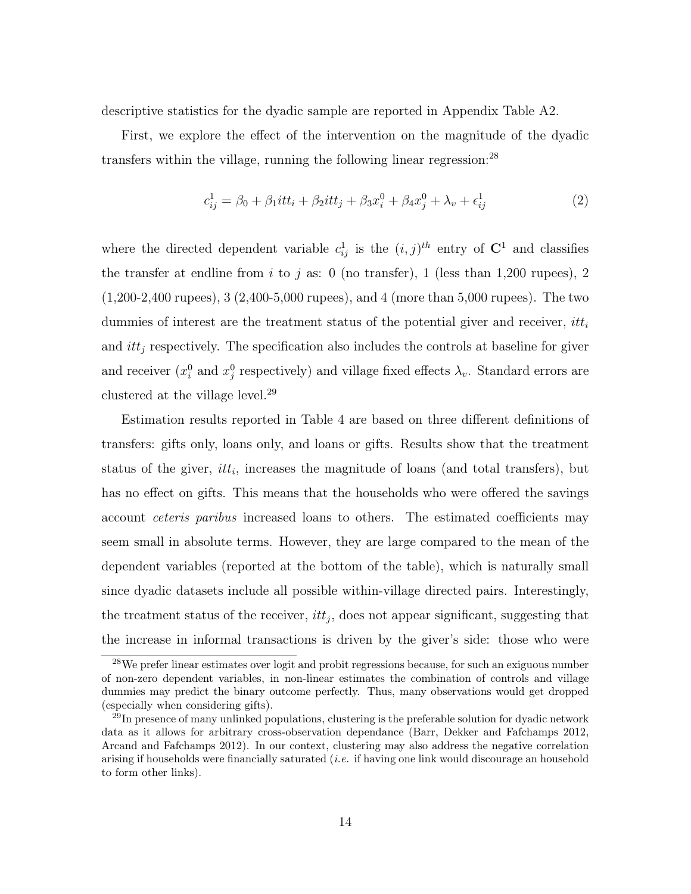descriptive statistics for the dyadic sample are reported in Appendix Table A2.

First, we explore the effect of the intervention on the magnitude of the dyadic transfers within the village, running the following linear regression:<sup>28</sup>

$$
c_{ij}^1 = \beta_0 + \beta_1 itt_i + \beta_2 itt_j + \beta_3 x_i^0 + \beta_4 x_j^0 + \lambda_v + \epsilon_{ij}^1
$$
 (2)

where the directed dependent variable  $c_{ij}^1$  is the  $(i, j)^{th}$  entry of  $\mathbb{C}^1$  and classifies the transfer at endline from i to j as: 0 (no transfer), 1 (less than 1,200 rupees), 2 (1,200-2,400 rupees), 3 (2,400-5,000 rupees), and 4 (more than 5,000 rupees). The two dummies of interest are the treatment status of the potential giver and receiver,  $it_t$ and  $it_{i}$  respectively. The specification also includes the controls at baseline for given and receiver  $(x_i^0 \text{ and } x_j^0 \text{ respectively})$  and village fixed effects  $\lambda_v$ . Standard errors are clustered at the village level.<sup>29</sup>

Estimation results reported in Table 4 are based on three different definitions of transfers: gifts only, loans only, and loans or gifts. Results show that the treatment status of the giver,  $it_t$ , increases the magnitude of loans (and total transfers), but has no effect on gifts. This means that the households who were offered the savings account ceteris paribus increased loans to others. The estimated coefficients may seem small in absolute terms. However, they are large compared to the mean of the dependent variables (reported at the bottom of the table), which is naturally small since dyadic datasets include all possible within-village directed pairs. Interestingly, the treatment status of the receiver,  $it_{j}$ , does not appear significant, suggesting that the increase in informal transactions is driven by the giver's side: those who were

<sup>28</sup>We prefer linear estimates over logit and probit regressions because, for such an exiguous number of non-zero dependent variables, in non-linear estimates the combination of controls and village dummies may predict the binary outcome perfectly. Thus, many observations would get dropped (especially when considering gifts).

 $^{29}$ In presence of many unlinked populations, clustering is the preferable solution for dyadic network data as it allows for arbitrary cross-observation dependance (Barr, Dekker and Fafchamps 2012, Arcand and Fafchamps 2012). In our context, clustering may also address the negative correlation arising if households were financially saturated (*i.e.* if having one link would discourage an household to form other links).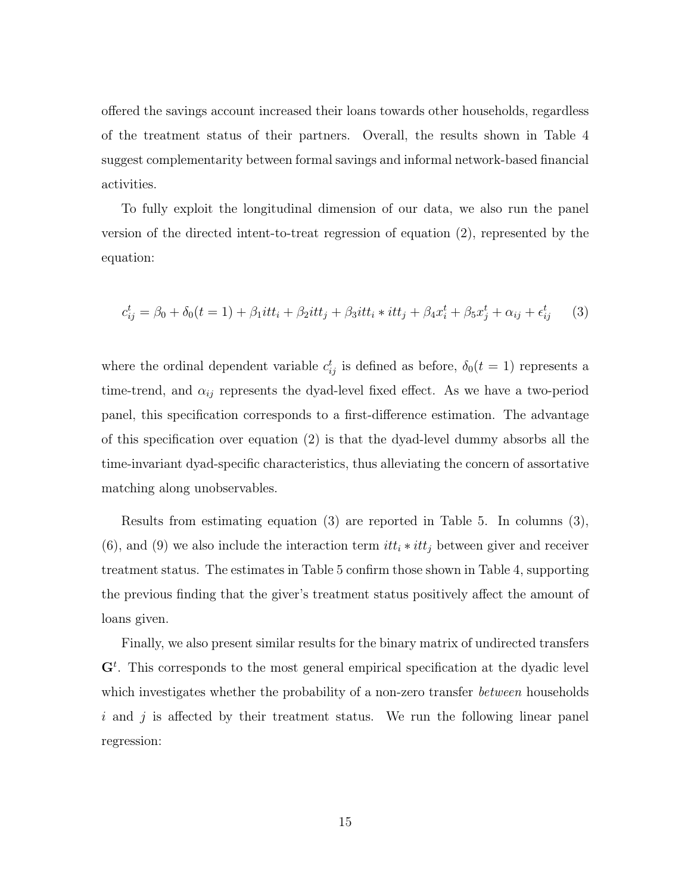offered the savings account increased their loans towards other households, regardless of the treatment status of their partners. Overall, the results shown in Table 4 suggest complementarity between formal savings and informal network-based financial activities.

To fully exploit the longitudinal dimension of our data, we also run the panel version of the directed intent-to-treat regression of equation (2), represented by the equation:

$$
c_{ij}^t = \beta_0 + \delta_0(t = 1) + \beta_1 itt_i + \beta_2 itt_j + \beta_3 itt_i * itt_j + \beta_4 x_i^t + \beta_5 x_j^t + \alpha_{ij} + \epsilon_{ij}^t \tag{3}
$$

where the ordinal dependent variable  $c_{ij}^t$  is defined as before,  $\delta_0(t=1)$  represents a time-trend, and  $\alpha_{ij}$  represents the dyad-level fixed effect. As we have a two-period panel, this specification corresponds to a first-difference estimation. The advantage of this specification over equation (2) is that the dyad-level dummy absorbs all the time-invariant dyad-specific characteristics, thus alleviating the concern of assortative matching along unobservables.

Results from estimating equation (3) are reported in Table 5. In columns (3), (6), and (9) we also include the interaction term  $itt_i * itt_j$  between giver and receiver treatment status. The estimates in Table 5 confirm those shown in Table 4, supporting the previous finding that the giver's treatment status positively affect the amount of loans given.

Finally, we also present similar results for the binary matrix of undirected transfers  $\mathbf{G}^{t}$ . This corresponds to the most general empirical specification at the dyadic level which investigates whether the probability of a non-zero transfer *between* households  $i$  and  $j$  is affected by their treatment status. We run the following linear panel regression: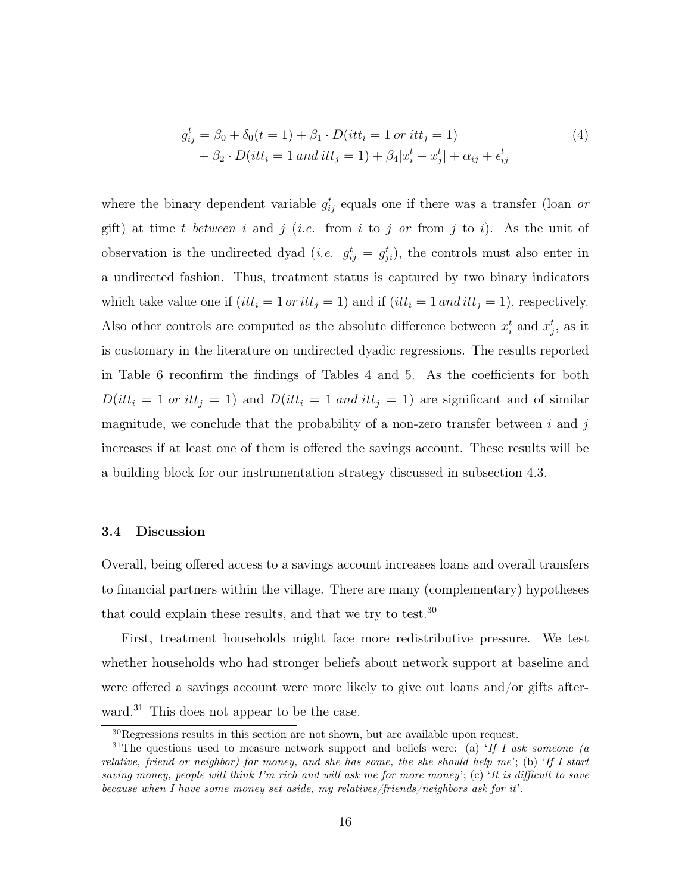$$
g_{ij}^t = \beta_0 + \delta_0(t = 1) + \beta_1 \cdot D(itt_i = 1 \text{ or } itt_j = 1) + \beta_2 \cdot D(itt_i = 1 \text{ and } itt_j = 1) + \beta_4 |x_i^t - x_j^t| + \alpha_{ij} + \epsilon_{ij}^t
$$
(4)

where the binary dependent variable  $g_{ij}^t$  equals one if there was a transfer (loan or gift) at time t between i and j (i.e. from i to j or from j to i). As the unit of observation is the undirected dyad (*i.e.*  $g_{ij}^t = g_{ji}^t$ ), the controls must also enter in a undirected fashion. Thus, treatment status is captured by two binary indicators which take value one if  $(itt_i = 1 \text{ or } itt_j = 1)$  and if  $(itt_i = 1 \text{ and } itt_j = 1)$ , respectively. Also other controls are computed as the absolute difference between  $x_i^t$  and  $x_j^t$ , as it is customary in the literature on undirected dyadic regressions. The results reported in Table 6 reconfirm the findings of Tables 4 and 5. As the coefficients for both  $D(i t t_i = 1 \text{ or } it t_j = 1)$  and  $D(i t t_i = 1 \text{ and } it t_j = 1)$  are significant and of similar magnitude, we conclude that the probability of a non-zero transfer between  $i$  and  $j$ increases if at least one of them is offered the savings account. These results will be a building block for our instrumentation strategy discussed in subsection 4.3.

#### 3.4 Discussion

Overall, being offered access to a savings account increases loans and overall transfers to financial partners within the village. There are many (complementary) hypotheses that could explain these results, and that we try to test.<sup>30</sup>

First, treatment households might face more redistributive pressure. We test whether households who had stronger beliefs about network support at baseline and were offered a savings account were more likely to give out loans and/or gifts afterward.<sup>31</sup> This does not appear to be the case.

 $30$ Regressions results in this section are not shown, but are available upon request.

<sup>&</sup>lt;sup>31</sup>The questions used to measure network support and beliefs were: (a) 'If I ask someone (a relative, friend or neighbor) for money, and she has some, the she should help me'; (b) 'If I start saving money, people will think I'm rich and will ask me for more money'; (c) 'It is difficult to save because when I have some money set aside, my relatives/friends/neighbors ask for it'.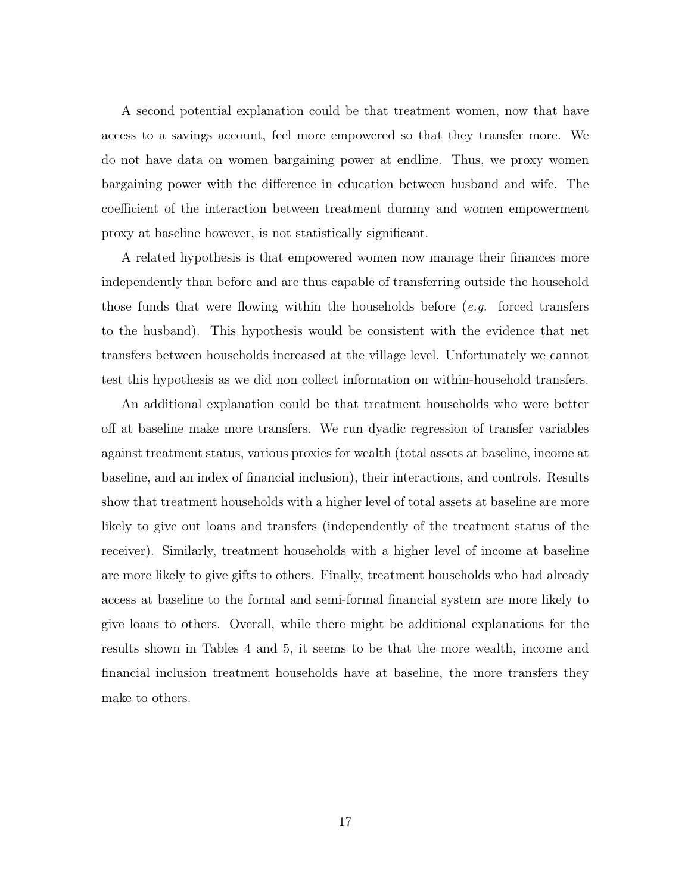A second potential explanation could be that treatment women, now that have access to a savings account, feel more empowered so that they transfer more. We do not have data on women bargaining power at endline. Thus, we proxy women bargaining power with the difference in education between husband and wife. The coefficient of the interaction between treatment dummy and women empowerment proxy at baseline however, is not statistically significant.

A related hypothesis is that empowered women now manage their finances more independently than before and are thus capable of transferring outside the household those funds that were flowing within the households before  $(e.g.$  forced transfers to the husband). This hypothesis would be consistent with the evidence that net transfers between households increased at the village level. Unfortunately we cannot test this hypothesis as we did non collect information on within-household transfers.

An additional explanation could be that treatment households who were better off at baseline make more transfers. We run dyadic regression of transfer variables against treatment status, various proxies for wealth (total assets at baseline, income at baseline, and an index of financial inclusion), their interactions, and controls. Results show that treatment households with a higher level of total assets at baseline are more likely to give out loans and transfers (independently of the treatment status of the receiver). Similarly, treatment households with a higher level of income at baseline are more likely to give gifts to others. Finally, treatment households who had already access at baseline to the formal and semi-formal financial system are more likely to give loans to others. Overall, while there might be additional explanations for the results shown in Tables 4 and 5, it seems to be that the more wealth, income and financial inclusion treatment households have at baseline, the more transfers they make to others.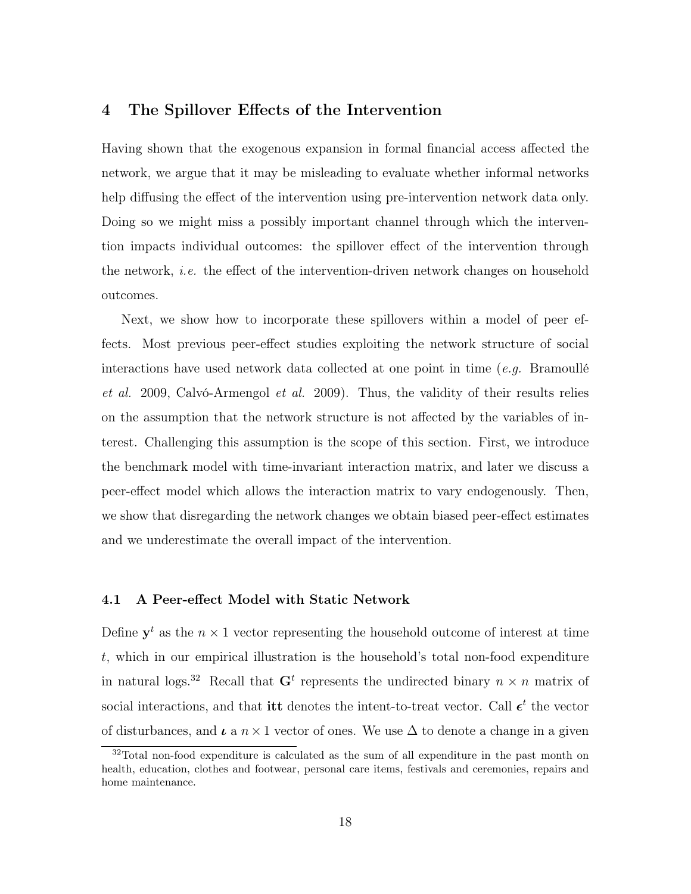### 4 The Spillover Effects of the Intervention

Having shown that the exogenous expansion in formal financial access affected the network, we argue that it may be misleading to evaluate whether informal networks help diffusing the effect of the intervention using pre-intervention network data only. Doing so we might miss a possibly important channel through which the intervention impacts individual outcomes: the spillover effect of the intervention through the network, i.e. the effect of the intervention-driven network changes on household outcomes.

Next, we show how to incorporate these spillovers within a model of peer effects. Most previous peer-effect studies exploiting the network structure of social interactions have used network data collected at one point in time (e.g. Bramoullé et al. 2009, Calvó-Armengol et al. 2009). Thus, the validity of their results relies on the assumption that the network structure is not affected by the variables of interest. Challenging this assumption is the scope of this section. First, we introduce the benchmark model with time-invariant interaction matrix, and later we discuss a peer-effect model which allows the interaction matrix to vary endogenously. Then, we show that disregarding the network changes we obtain biased peer-effect estimates and we underestimate the overall impact of the intervention.

#### 4.1 A Peer-effect Model with Static Network

Define  $y^t$  as the  $n \times 1$  vector representing the household outcome of interest at time t, which in our empirical illustration is the household's total non-food expenditure in natural logs.<sup>32</sup> Recall that  $G<sup>t</sup>$  represents the undirected binary  $n \times n$  matrix of social interactions, and that **itt** denotes the intent-to-treat vector. Call  $\epsilon^t$  the vector of disturbances, and  $\iota$  a  $n \times 1$  vector of ones. We use  $\Delta$  to denote a change in a given

<sup>32</sup>Total non-food expenditure is calculated as the sum of all expenditure in the past month on health, education, clothes and footwear, personal care items, festivals and ceremonies, repairs and home maintenance.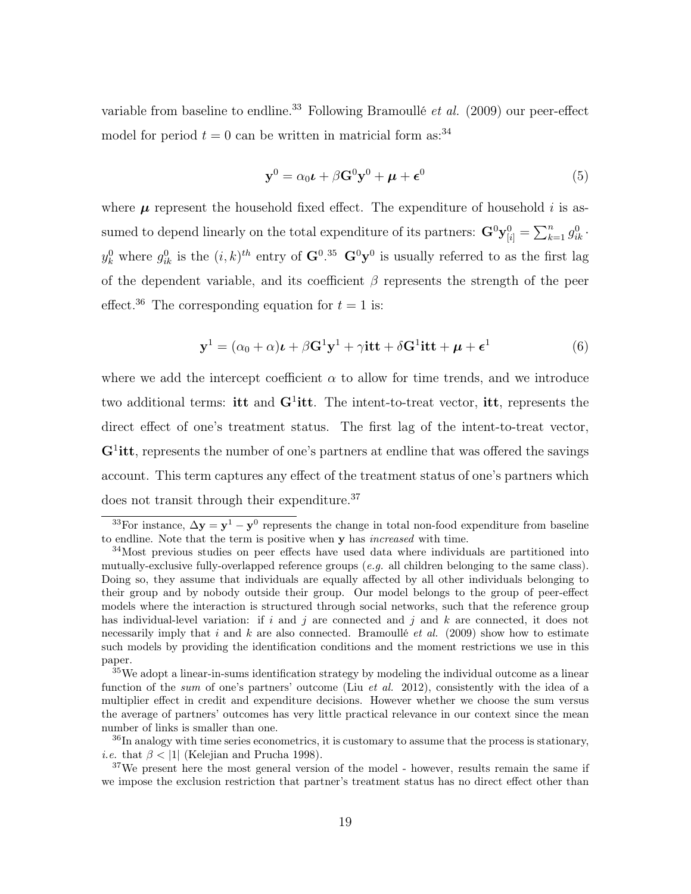variable from baseline to endline.<sup>33</sup> Following Bramoullé *et al.* (2009) our peer-effect model for period  $t = 0$  can be written in matricial form as:<sup>34</sup>

$$
\mathbf{y}^0 = \alpha_0 \mathbf{\iota} + \beta \mathbf{G}^0 \mathbf{y}^0 + \mathbf{\mu} + \boldsymbol{\epsilon}^0 \tag{5}
$$

where  $\mu$  represent the household fixed effect. The expenditure of household i is assumed to depend linearly on the total expenditure of its partners:  $\mathbf{G}^0 \mathbf{y}_{[i]}^0 = \sum_{k=1}^n g_{ik}^0$ .  $y_k^0$  where  $g_{ik}^0$  is the  $(i,k)^{th}$  entry of  $\mathbf{G}^{0.35}$   $\mathbf{G}^{0}\mathbf{y}^{0}$  is usually referred to as the first lag of the dependent variable, and its coefficient  $\beta$  represents the strength of the peer effect.<sup>36</sup> The corresponding equation for  $t = 1$  is:

$$
\mathbf{y}^1 = (\alpha_0 + \alpha)\mathbf{t} + \beta \mathbf{G}^1 \mathbf{y}^1 + \gamma \mathbf{itt} + \delta \mathbf{G}^1 \mathbf{itt} + \boldsymbol{\mu} + \boldsymbol{\epsilon}^1 \tag{6}
$$

where we add the intercept coefficient  $\alpha$  to allow for time trends, and we introduce two additional terms: itt and  $G^1$ itt. The intent-to-treat vector, itt, represents the direct effect of one's treatment status. The first lag of the intent-to-treat vector,  $G<sup>1</sup>$ itt, represents the number of one's partners at endline that was offered the savings account. This term captures any effect of the treatment status of one's partners which does not transit through their expenditure.<sup>37</sup>

<sup>&</sup>lt;sup>33</sup>For instance,  $\Delta y = y^1 - y^0$  represents the change in total non-food expenditure from baseline to endline. Note that the term is positive when y has increased with time.

<sup>&</sup>lt;sup>34</sup>Most previous studies on peer effects have used data where individuals are partitioned into mutually-exclusive fully-overlapped reference groups (e.g. all children belonging to the same class). Doing so, they assume that individuals are equally affected by all other individuals belonging to their group and by nobody outside their group. Our model belongs to the group of peer-effect models where the interaction is structured through social networks, such that the reference group has individual-level variation: if i and j are connected and j and  $k$  are connected, it does not necessarily imply that i and k are also connected. Bramoullé et al. (2009) show how to estimate such models by providing the identification conditions and the moment restrictions we use in this paper.

 $35$ We adopt a linear-in-sums identification strategy by modeling the individual outcome as a linear function of the sum of one's partners' outcome (Liu *et al.* 2012), consistently with the idea of a multiplier effect in credit and expenditure decisions. However whether we choose the sum versus the average of partners' outcomes has very little practical relevance in our context since the mean number of links is smaller than one.

<sup>&</sup>lt;sup>36</sup>In analogy with time series econometrics, it is customary to assume that the process is stationary, *i.e.* that  $\beta$  < |1| (Kelejian and Prucha 1998).

<sup>&</sup>lt;sup>37</sup>We present here the most general version of the model - however, results remain the same if we impose the exclusion restriction that partner's treatment status has no direct effect other than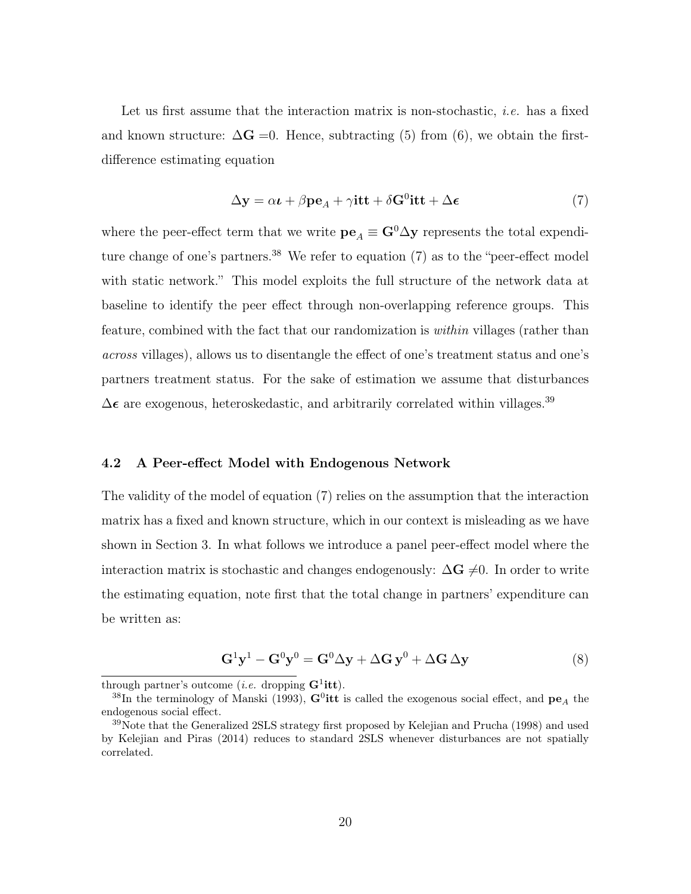Let us first assume that the interaction matrix is non-stochastic, *i.e.* has a fixed and known structure:  $\Delta G = 0$ . Hence, subtracting (5) from (6), we obtain the firstdifference estimating equation

$$
\Delta y = \alpha \iota + \beta p e_A + \gamma i t t + \delta G^0 i t t + \Delta \epsilon \tag{7}
$$

where the peer-effect term that we write  $\mathbf{pe}_A \equiv \mathbf{G}^0 \Delta \mathbf{y}$  represents the total expenditure change of one's partners.<sup>38</sup> We refer to equation  $(7)$  as to the "peer-effect model with static network." This model exploits the full structure of the network data at baseline to identify the peer effect through non-overlapping reference groups. This feature, combined with the fact that our randomization is within villages (rather than across villages), allows us to disentangle the effect of one's treatment status and one's partners treatment status. For the sake of estimation we assume that disturbances  $\Delta$  $\epsilon$  are exogenous, heteroskedastic, and arbitrarily correlated within villages.<sup>39</sup>

#### 4.2 A Peer-effect Model with Endogenous Network

The validity of the model of equation (7) relies on the assumption that the interaction matrix has a fixed and known structure, which in our context is misleading as we have shown in Section 3. In what follows we introduce a panel peer-effect model where the interaction matrix is stochastic and changes endogenously:  $\Delta G \neq 0$ . In order to write the estimating equation, note first that the total change in partners' expenditure can be written as:

$$
\mathbf{G}^{1}\mathbf{y}^{1} - \mathbf{G}^{0}\mathbf{y}^{0} = \mathbf{G}^{0}\Delta\mathbf{y} + \Delta\mathbf{G}\mathbf{y}^{0} + \Delta\mathbf{G}\Delta\mathbf{y}
$$
\n(8)

through partner's outcome (*i.e.* dropping  $G^1$ **itt**).

<sup>&</sup>lt;sup>38</sup>In the terminology of Manski (1993),  $\mathbf{G}^0$ itt is called the exogenous social effect, and  $\mathbf{pe}_A$  the endogenous social effect.

<sup>39</sup>Note that the Generalized 2SLS strategy first proposed by Kelejian and Prucha (1998) and used by Kelejian and Piras (2014) reduces to standard 2SLS whenever disturbances are not spatially correlated.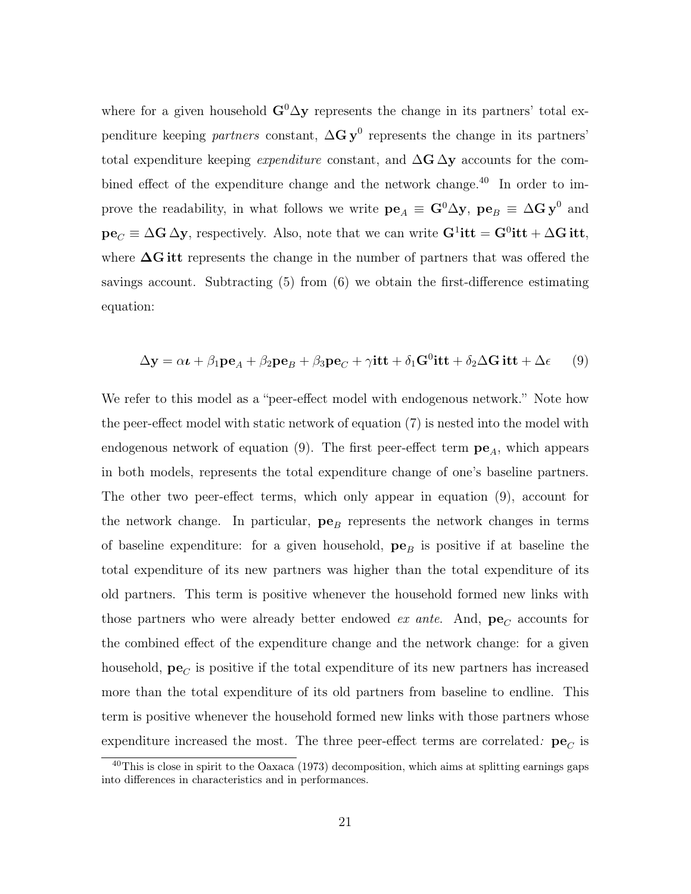where for a given household  $\mathbf{G}^0 \Delta \mathbf{y}$  represents the change in its partners' total expenditure keeping *partners* constant,  $\Delta G y^0$  represents the change in its partners' total expenditure keeping *expenditure* constant, and  $\Delta$ G  $\Delta$ y accounts for the combined effect of the expenditure change and the network change.<sup>40</sup> In order to improve the readability, in what follows we write  $pe_A \equiv G^0 \Delta y$ ,  $pe_B \equiv \Delta G y^0$  and  $pe_C \equiv \Delta G \Delta y$ , respectively. Also, note that we can write  $G^1$ **itt** =  $G^0$ **itt** +  $\Delta G$ **itt**, where  $\Delta G$  itt represents the change in the number of partners that was offered the savings account. Subtracting (5) from (6) we obtain the first-difference estimating equation:

$$
\Delta \mathbf{y} = \alpha \mathbf{t} + \beta_1 \mathbf{p} \mathbf{e}_A + \beta_2 \mathbf{p} \mathbf{e}_B + \beta_3 \mathbf{p} \mathbf{e}_C + \gamma \mathbf{it} + \delta_1 \mathbf{G}^0 \mathbf{it} + \delta_2 \Delta \mathbf{G} \mathbf{it} + \Delta \epsilon \tag{9}
$$

We refer to this model as a "peer-effect model with endogenous network." Note how the peer-effect model with static network of equation (7) is nested into the model with endogenous network of equation (9). The first peer-effect term  $pe<sub>A</sub>$ , which appears in both models, represents the total expenditure change of one's baseline partners. The other two peer-effect terms, which only appear in equation (9), account for the network change. In particular,  $pe_B$  represents the network changes in terms of baseline expenditure: for a given household,  $pe_B$  is positive if at baseline the total expenditure of its new partners was higher than the total expenditure of its old partners. This term is positive whenever the household formed new links with those partners who were already better endowed *ex ante*. And,  $pe_C$  accounts for the combined effect of the expenditure change and the network change: for a given household,  $pe_C$  is positive if the total expenditure of its new partners has increased more than the total expenditure of its old partners from baseline to endline. This term is positive whenever the household formed new links with those partners whose expenditure increased the most. The three peer-effect terms are correlated:  $pe<sub>C</sub>$  is

<sup>40</sup>This is close in spirit to the Oaxaca (1973) decomposition, which aims at splitting earnings gaps into differences in characteristics and in performances.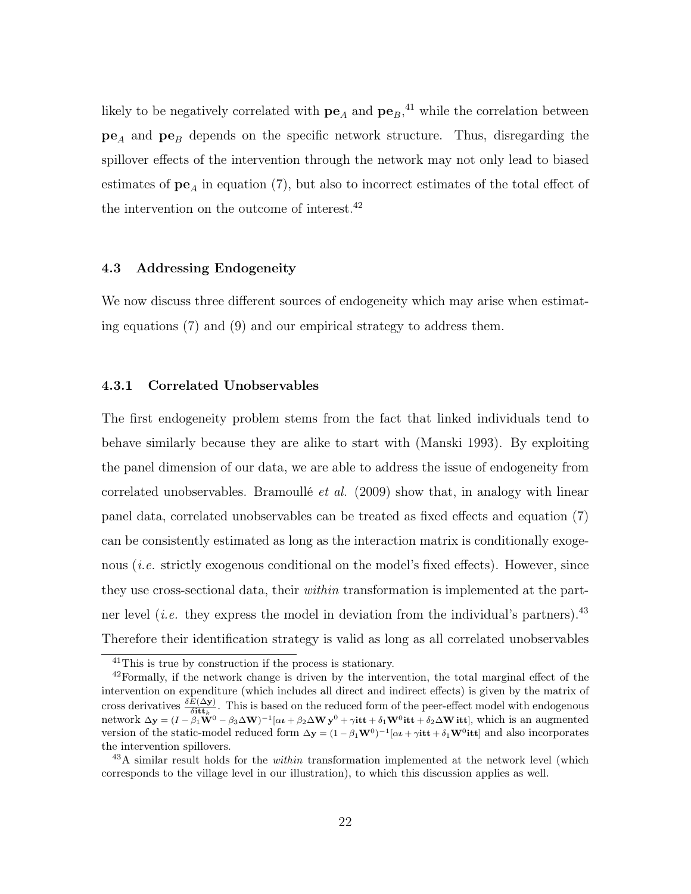likely to be negatively correlated with  $pe_A$  and  $pe_B,$ <sup>41</sup> while the correlation between  $pe<sub>A</sub>$  and  $pe<sub>B</sub>$  depends on the specific network structure. Thus, disregarding the spillover effects of the intervention through the network may not only lead to biased estimates of  $pe_A$  in equation (7), but also to incorrect estimates of the total effect of the intervention on the outcome of interest.<sup>42</sup>

#### 4.3 Addressing Endogeneity

We now discuss three different sources of endogeneity which may arise when estimating equations (7) and (9) and our empirical strategy to address them.

#### 4.3.1 Correlated Unobservables

The first endogeneity problem stems from the fact that linked individuals tend to behave similarly because they are alike to start with (Manski 1993). By exploiting the panel dimension of our data, we are able to address the issue of endogeneity from correlated unobservables. Bramoullé *et al.*  $(2009)$  show that, in analogy with linear panel data, correlated unobservables can be treated as fixed effects and equation (7) can be consistently estimated as long as the interaction matrix is conditionally exogenous *(i.e.* strictly exogenous conditional on the model's fixed effects). However, since they use cross-sectional data, their *within* transformation is implemented at the partner level *(i.e.* they express the model in deviation from the individual's partners).<sup>43</sup> Therefore their identification strategy is valid as long as all correlated unobservables

<sup>41</sup>This is true by construction if the process is stationary.

 $42$ Formally, if the network change is driven by the intervention, the total marginal effect of the intervention on expenditure (which includes all direct and indirect effects) is given by the matrix of cross derivatives  $\frac{\delta E(\Delta y)}{\delta i \mathbf{t} t_k}$ . This is based on the reduced form of the peer-effect model with endogenous network  $\Delta y = (I - \beta_1 \dot{W}^0 - \beta_3 \Delta W)^{-1} [\alpha \iota + \beta_2 \Delta W y^0 + \gamma i t t + \delta_1 W^0 t t + \delta_2 \Delta W t t t],$  which is an augmented version of the static-model reduced form  $\Delta y = (1 - \beta_1 \mathbf{W}^0)^{-1} [\alpha \iota + \gamma \mathbf{it} + \delta_1 \mathbf{W}^0 \mathbf{it}]$  and also incorporates the intervention spillovers.

 $^{43}$ A similar result holds for the *within* transformation implemented at the network level (which corresponds to the village level in our illustration), to which this discussion applies as well.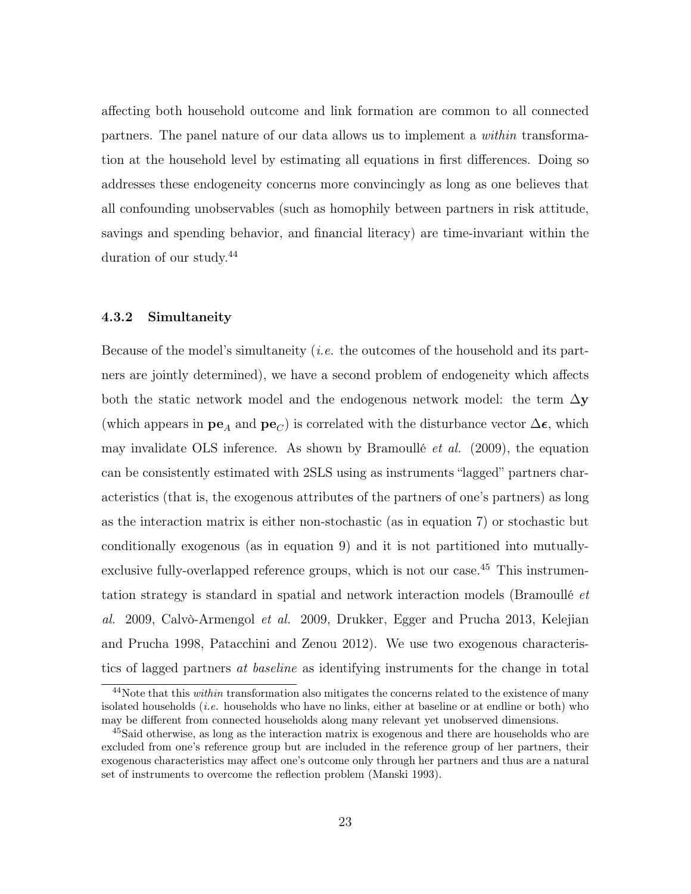affecting both household outcome and link formation are common to all connected partners. The panel nature of our data allows us to implement a within transformation at the household level by estimating all equations in first differences. Doing so addresses these endogeneity concerns more convincingly as long as one believes that all confounding unobservables (such as homophily between partners in risk attitude, savings and spending behavior, and financial literacy) are time-invariant within the duration of our study.<sup>44</sup>

#### 4.3.2 Simultaneity

Because of the model's simultaneity (i.e. the outcomes of the household and its partners are jointly determined), we have a second problem of endogeneity which affects both the static network model and the endogenous network model: the term  $\Delta y$ (which appears in  $\mathbf{pe}_A$  and  $\mathbf{pe}_C$ ) is correlated with the disturbance vector  $\Delta \epsilon$ , which may invalidate OLS inference. As shown by Bramoullé et al. (2009), the equation can be consistently estimated with 2SLS using as instruments "lagged" partners characteristics (that is, the exogenous attributes of the partners of one's partners) as long as the interaction matrix is either non-stochastic (as in equation 7) or stochastic but conditionally exogenous (as in equation 9) and it is not partitioned into mutuallyexclusive fully-overlapped reference groups, which is not our case.<sup>45</sup> This instrumentation strategy is standard in spatial and network interaction models (Bramoullé et al. 2009, Calvò-Armengol et al. 2009, Drukker, Egger and Prucha 2013, Kelejian and Prucha 1998, Patacchini and Zenou 2012). We use two exogenous characteristics of lagged partners at baseline as identifying instruments for the change in total

<sup>&</sup>lt;sup>44</sup>Note that this *within* transformation also mitigates the concerns related to the existence of many isolated households (*i.e.* households who have no links, either at baseline or at endline or both) who may be different from connected households along many relevant yet unobserved dimensions.

<sup>&</sup>lt;sup>45</sup>Said otherwise, as long as the interaction matrix is exogenous and there are households who are excluded from one's reference group but are included in the reference group of her partners, their exogenous characteristics may affect one's outcome only through her partners and thus are a natural set of instruments to overcome the reflection problem (Manski 1993).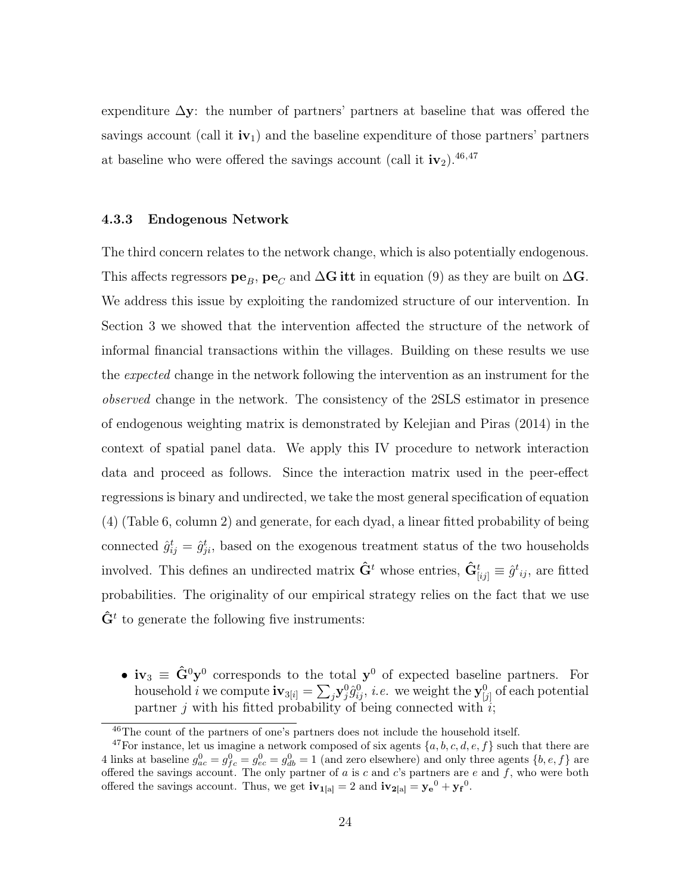expenditure  $\Delta y$ : the number of partners' partners at baseline that was offered the savings account (call it  $\mathbf{i}v_1$ ) and the baseline expenditure of those partners' partners at baseline who were offered the savings account (call it  $iv_2$ ).<sup>46,47</sup>

#### 4.3.3 Endogenous Network

The third concern relates to the network change, which is also potentially endogenous. This affects regressors  $pe_B$ ,  $pe_C$  and  $\Delta G$  itt in equation (9) as they are built on  $\Delta G$ . We address this issue by exploiting the randomized structure of our intervention. In Section 3 we showed that the intervention affected the structure of the network of informal financial transactions within the villages. Building on these results we use the *expected* change in the network following the intervention as an instrument for the observed change in the network. The consistency of the 2SLS estimator in presence of endogenous weighting matrix is demonstrated by Kelejian and Piras (2014) in the context of spatial panel data. We apply this IV procedure to network interaction data and proceed as follows. Since the interaction matrix used in the peer-effect regressions is binary and undirected, we take the most general specification of equation (4) (Table 6, column 2) and generate, for each dyad, a linear fitted probability of being connected  $\hat{g}_{ij}^t = \hat{g}_{ji}^t$ , based on the exogenous treatment status of the two households involved. This defines an undirected matrix  $\hat{\mathbf{G}}^t$  whose entries,  $\hat{\mathbf{G}}^t_{[ij]} \equiv \hat{g}^t{}_{ij}$ , are fitted probabilities. The originality of our empirical strategy relies on the fact that we use  $\hat{\mathbf{G}}^t$  to generate the following five instruments:

•  $iv_3 \equiv \hat{G}^0 y^0$  corresponds to the total  $y^0$  of expected baseline partners. For household i we compute  $\textbf{iv}_{3[i]} = \sum_j \textbf{y}^0_j \hat{g}^0_{ij}$ , i.e. we weight the  $\textbf{y}^0_{[j]}$  of each potential partner j with his fitted probability of being connected with  $i$ ;

<sup>46</sup>The count of the partners of one's partners does not include the household itself.

<sup>&</sup>lt;sup>47</sup>For instance, let us imagine a network composed of six agents  $\{a, b, c, d, e, f\}$  such that there are 4 links at baseline  $g_{ac}^0 = g_{fc}^0 = g_{db}^0 = 1$  (and zero elsewhere) and only three agents  $\{b, e, f\}$  are offered the savings account. The only partner of  $a$  is  $c$  and  $c$ 's partners are  $e$  and  $f$ , who were both offered the savings account. Thus, we get  $iv_{1[a]} = 2$  and  $iv_{2[a]} = y_e^0 + y_f^0$ .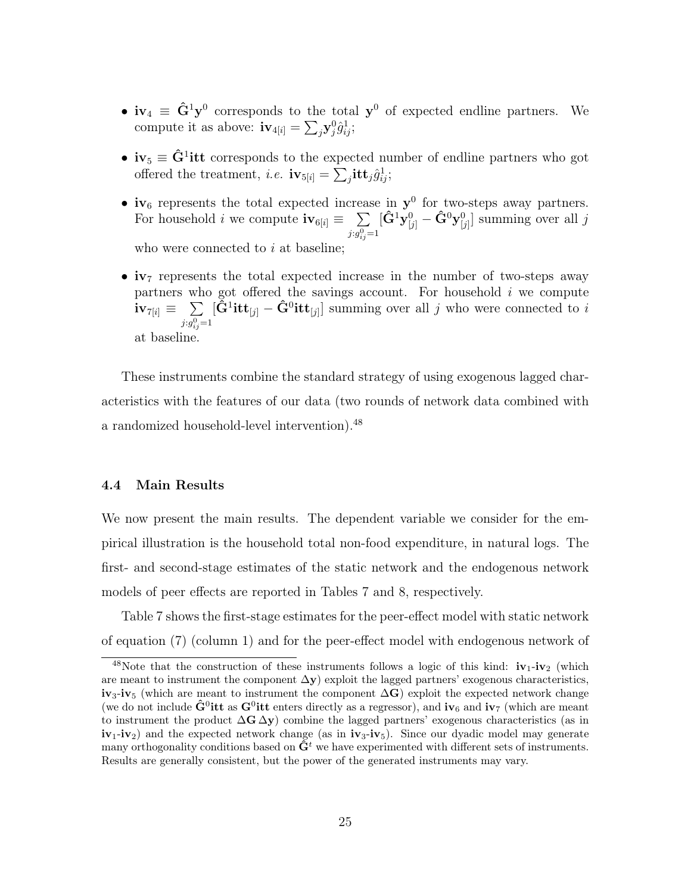- $iv_4 \equiv \hat{G}^1 y^0$  corresponds to the total  $y^0$  of expected endline partners. We compute it as above:  $\mathbf{i} \mathbf{v}_{4[i]} = \sum_j \mathbf{y}_j^0 \hat{g}_{ij}^1;$
- $iv_5 \equiv \hat{G}^1$ itt corresponds to the expected number of endline partners who got offered the treatment, *i.e.*  $iv_{5[i]} = \sum_j itt_j\hat{g}_{ij}^1;$
- iv<sub>6</sub> represents the total expected increase in  $y^0$  for two-steps away partners. For household *i* we compute  $iv_{6[i]} \equiv \sum$  $j: g_{ij}^0 = 1$  $[\hat{\mathbf{G}}^1 \mathbf{y}_{[j]}^0 - \hat{\mathbf{G}}^0 \mathbf{y}_{[j]}^0]$  summing over all j who were connected to  $i$  at baseline:
- iv<sub>7</sub> represents the total expected increase in the number of two-steps away partners who got offered the savings account. For household  $i$  we compute  $\textbf{i} \textbf{v}_{7[i]} \equiv \phantom{1} \sum$  $j: g_{ij}^0 = 1$  $[\hat{G}^1\textbf{itt}_{[j]} - \hat{G}^0\textbf{itt}_{[j]}]$  summing over all j who were connected to i at baseline.

These instruments combine the standard strategy of using exogenous lagged characteristics with the features of our data (two rounds of network data combined with a randomized household-level intervention).<sup>48</sup>

#### 4.4 Main Results

We now present the main results. The dependent variable we consider for the empirical illustration is the household total non-food expenditure, in natural logs. The first- and second-stage estimates of the static network and the endogenous network models of peer effects are reported in Tables 7 and 8, respectively.

Table 7 shows the first-stage estimates for the peer-effect model with static network of equation (7) (column 1) and for the peer-effect model with endogenous network of

<sup>&</sup>lt;sup>48</sup>Note that the construction of these instruments follows a logic of this kind:  $iv_1-iv_2$  (which are meant to instrument the component  $\Delta y$ ) exploit the lagged partners' exogenous characteristics,  $iv_3$ -iv<sub>5</sub> (which are meant to instrument the component  $\Delta G$ ) exploit the expected network change (we do not include  $\hat{G}^0$ itt as  $G^0$ itt enters directly as a regressor), and iv<sub>6</sub> and iv<sub>7</sub> (which are meant to instrument the product  $\Delta G \Delta y$ ) combine the lagged partners' exogenous characteristics (as in  $iv_1-iv_2$  and the expected network change (as in  $iv_3-iv_5$ ). Since our dyadic model may generate many orthogonality conditions based on  $\hat{\mathbf{G}}^t$  we have experimented with different sets of instruments. Results are generally consistent, but the power of the generated instruments may vary.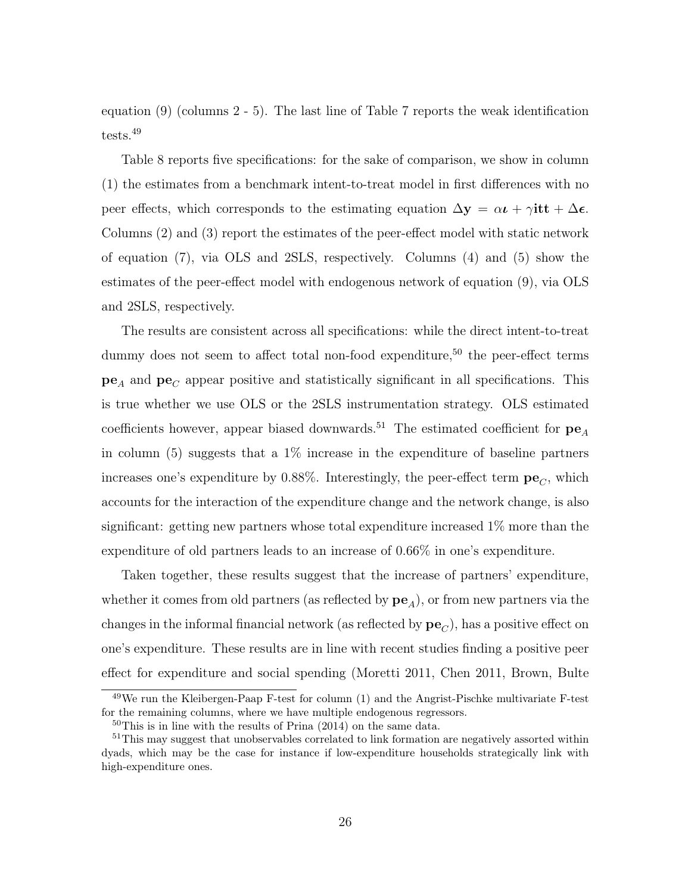equation (9) (columns 2 - 5). The last line of Table 7 reports the weak identification tests.<sup>49</sup>

Table 8 reports five specifications: for the sake of comparison, we show in column (1) the estimates from a benchmark intent-to-treat model in first differences with no peer effects, which corresponds to the estimating equation  $\Delta y = \alpha t + \gamma i t t + \Delta \epsilon$ . Columns (2) and (3) report the estimates of the peer-effect model with static network of equation (7), via OLS and 2SLS, respectively. Columns (4) and (5) show the estimates of the peer-effect model with endogenous network of equation (9), via OLS and 2SLS, respectively.

The results are consistent across all specifications: while the direct intent-to-treat dummy does not seem to affect total non-food expenditure,<sup>50</sup> the peer-effect terms  $pe_A$  and  $pe_C$  appear positive and statistically significant in all specifications. This is true whether we use OLS or the 2SLS instrumentation strategy. OLS estimated coefficients however, appear biased downwards.<sup>51</sup> The estimated coefficient for  $pe<sub>A</sub>$ in column  $(5)$  suggests that a  $1\%$  increase in the expenditure of baseline partners increases one's expenditure by 0.88%. Interestingly, the peer-effect term  $pe<sub>C</sub>$ , which accounts for the interaction of the expenditure change and the network change, is also significant: getting new partners whose total expenditure increased 1% more than the expenditure of old partners leads to an increase of 0.66% in one's expenditure.

Taken together, these results suggest that the increase of partners' expenditure, whether it comes from old partners (as reflected by  $pe_A$ ), or from new partners via the changes in the informal financial network (as reflected by  $pe<sub>C</sub>$ ), has a positive effect on one's expenditure. These results are in line with recent studies finding a positive peer effect for expenditure and social spending (Moretti 2011, Chen 2011, Brown, Bulte

<sup>49</sup>We run the Kleibergen-Paap F-test for column (1) and the Angrist-Pischke multivariate F-test for the remaining columns, where we have multiple endogenous regressors.

 $50$ This is in line with the results of Prina (2014) on the same data.

<sup>&</sup>lt;sup>51</sup>This may suggest that unobservables correlated to link formation are negatively assorted within dyads, which may be the case for instance if low-expenditure households strategically link with high-expenditure ones.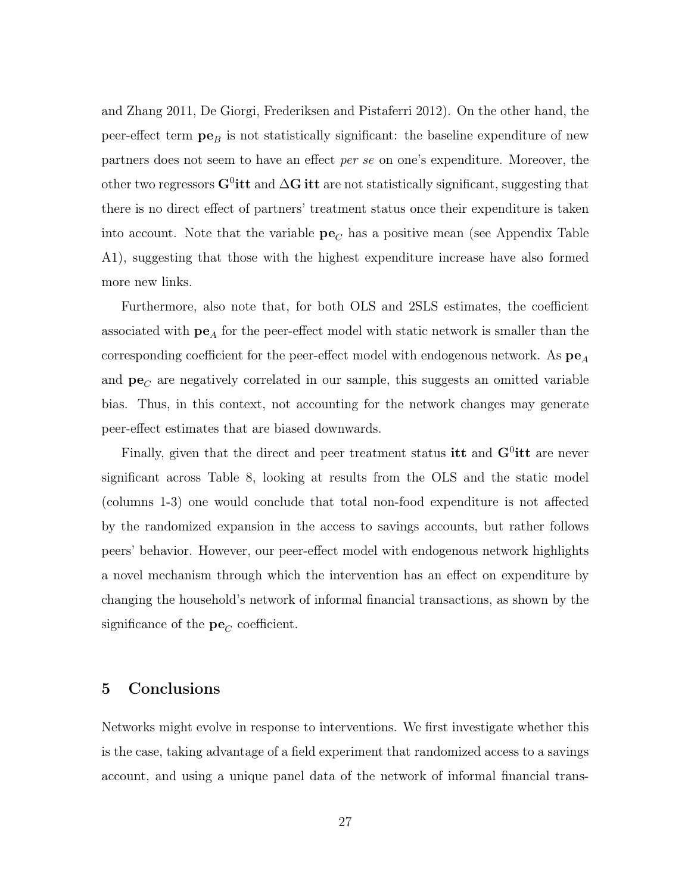and Zhang 2011, De Giorgi, Frederiksen and Pistaferri 2012). On the other hand, the peer-effect term  $pe_B$  is not statistically significant: the baseline expenditure of new partners does not seem to have an effect per se on one's expenditure. Moreover, the other two regressors G<sup>0</sup>itt and  $\Delta$ G itt are not statistically significant, suggesting that there is no direct effect of partners' treatment status once their expenditure is taken into account. Note that the variable  $pe<sub>C</sub>$  has a positive mean (see Appendix Table A1), suggesting that those with the highest expenditure increase have also formed more new links.

Furthermore, also note that, for both OLS and 2SLS estimates, the coefficient associated with  $\mathbf{pe}_A$  for the peer-effect model with static network is smaller than the corresponding coefficient for the peer-effect model with endogenous network. As  $pe_A$ and  $pe<sub>C</sub>$  are negatively correlated in our sample, this suggests an omitted variable bias. Thus, in this context, not accounting for the network changes may generate peer-effect estimates that are biased downwards.

Finally, given that the direct and peer treatment status it and  $G^0$ itt are never significant across Table 8, looking at results from the OLS and the static model (columns 1-3) one would conclude that total non-food expenditure is not affected by the randomized expansion in the access to savings accounts, but rather follows peers' behavior. However, our peer-effect model with endogenous network highlights a novel mechanism through which the intervention has an effect on expenditure by changing the household's network of informal financial transactions, as shown by the significance of the  $pe<sub>C</sub>$  coefficient.

### 5 Conclusions

Networks might evolve in response to interventions. We first investigate whether this is the case, taking advantage of a field experiment that randomized access to a savings account, and using a unique panel data of the network of informal financial trans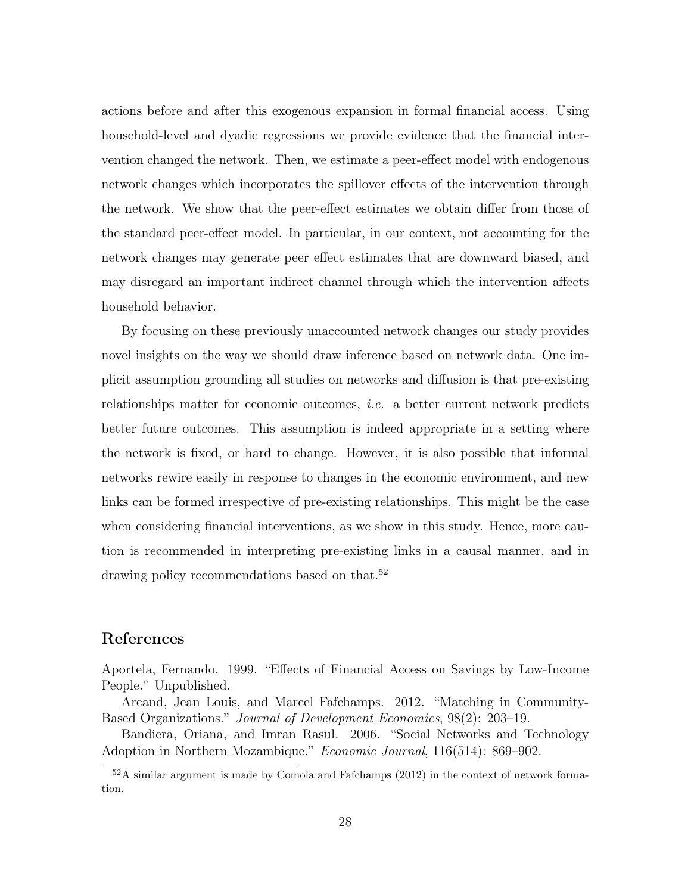actions before and after this exogenous expansion in formal financial access. Using household-level and dyadic regressions we provide evidence that the financial intervention changed the network. Then, we estimate a peer-effect model with endogenous network changes which incorporates the spillover effects of the intervention through the network. We show that the peer-effect estimates we obtain differ from those of the standard peer-effect model. In particular, in our context, not accounting for the network changes may generate peer effect estimates that are downward biased, and may disregard an important indirect channel through which the intervention affects household behavior.

By focusing on these previously unaccounted network changes our study provides novel insights on the way we should draw inference based on network data. One implicit assumption grounding all studies on networks and diffusion is that pre-existing relationships matter for economic outcomes, i.e. a better current network predicts better future outcomes. This assumption is indeed appropriate in a setting where the network is fixed, or hard to change. However, it is also possible that informal networks rewire easily in response to changes in the economic environment, and new links can be formed irrespective of pre-existing relationships. This might be the case when considering financial interventions, as we show in this study. Hence, more caution is recommended in interpreting pre-existing links in a causal manner, and in drawing policy recommendations based on that.<sup>52</sup>

### References

Aportela, Fernando. 1999. "Effects of Financial Access on Savings by Low-Income People." Unpublished.

Arcand, Jean Louis, and Marcel Fafchamps. 2012. "Matching in Community-Based Organizations." Journal of Development Economics, 98(2): 203–19.

Bandiera, Oriana, and Imran Rasul. 2006. "Social Networks and Technology Adoption in Northern Mozambique." Economic Journal, 116(514): 869–902.

 $52A$  similar argument is made by Comola and Fafchamps (2012) in the context of network formation.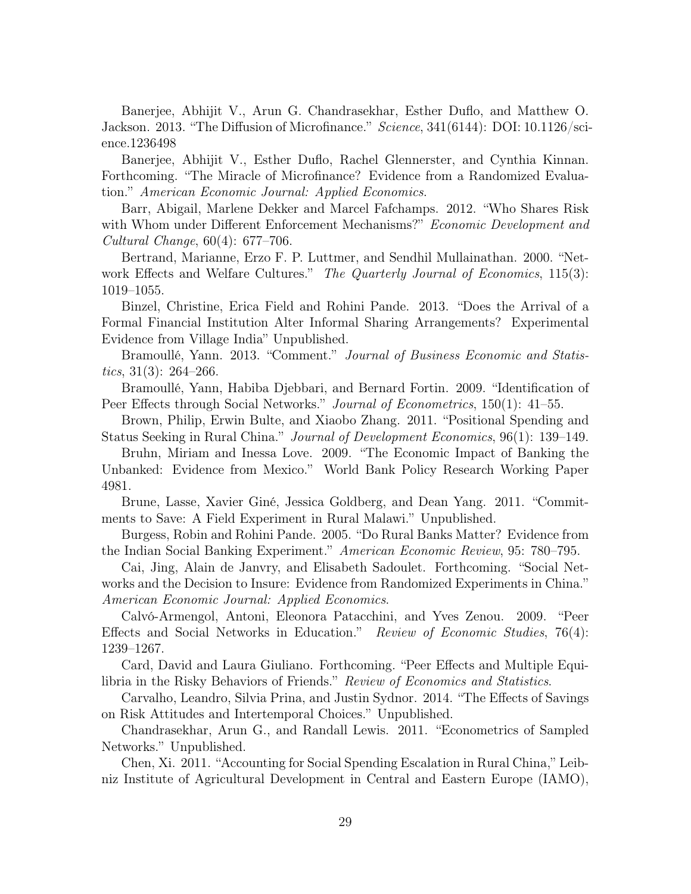Banerjee, Abhijit V., Arun G. Chandrasekhar, Esther Duflo, and Matthew O. Jackson. 2013. "The Diffusion of Microfinance." Science, 341(6144): DOI: 10.1126/science.1236498

Banerjee, Abhijit V., Esther Duflo, Rachel Glennerster, and Cynthia Kinnan. Forthcoming. "The Miracle of Microfinance? Evidence from a Randomized Evaluation." American Economic Journal: Applied Economics.

Barr, Abigail, Marlene Dekker and Marcel Fafchamps. 2012. "Who Shares Risk with Whom under Different Enforcement Mechanisms?" Economic Development and Cultural Change, 60(4): 677–706.

Bertrand, Marianne, Erzo F. P. Luttmer, and Sendhil Mullainathan. 2000. "Network Effects and Welfare Cultures." The Quarterly Journal of Economics, 115(3): 1019–1055.

Binzel, Christine, Erica Field and Rohini Pande. 2013. "Does the Arrival of a Formal Financial Institution Alter Informal Sharing Arrangements? Experimental Evidence from Village India" Unpublished.

Bramoullé, Yann. 2013. "Comment." Journal of Business Economic and Statistics,  $31(3)$ :  $264-266$ .

Bramoullé, Yann, Habiba Djebbari, and Bernard Fortin. 2009. "Identification of Peer Effects through Social Networks." Journal of Econometrics, 150(1): 41–55.

Brown, Philip, Erwin Bulte, and Xiaobo Zhang. 2011. "Positional Spending and Status Seeking in Rural China." Journal of Development Economics, 96(1): 139–149.

Bruhn, Miriam and Inessa Love. 2009. "The Economic Impact of Banking the Unbanked: Evidence from Mexico." World Bank Policy Research Working Paper 4981.

Brune, Lasse, Xavier Giné, Jessica Goldberg, and Dean Yang. 2011. "Commitments to Save: A Field Experiment in Rural Malawi." Unpublished.

Burgess, Robin and Rohini Pande. 2005. "Do Rural Banks Matter? Evidence from the Indian Social Banking Experiment." American Economic Review, 95: 780–795.

Cai, Jing, Alain de Janvry, and Elisabeth Sadoulet. Forthcoming. "Social Networks and the Decision to Insure: Evidence from Randomized Experiments in China." American Economic Journal: Applied Economics.

Calvó-Armengol, Antoni, Eleonora Patacchini, and Yves Zenou. 2009. "Peer Effects and Social Networks in Education." Review of Economic Studies, 76(4): 1239–1267.

Card, David and Laura Giuliano. Forthcoming. "Peer Effects and Multiple Equilibria in the Risky Behaviors of Friends." Review of Economics and Statistics.

Carvalho, Leandro, Silvia Prina, and Justin Sydnor. 2014. "The Effects of Savings on Risk Attitudes and Intertemporal Choices." Unpublished.

Chandrasekhar, Arun G., and Randall Lewis. 2011. "Econometrics of Sampled Networks." Unpublished.

Chen, Xi. 2011. "Accounting for Social Spending Escalation in Rural China," Leibniz Institute of Agricultural Development in Central and Eastern Europe (IAMO),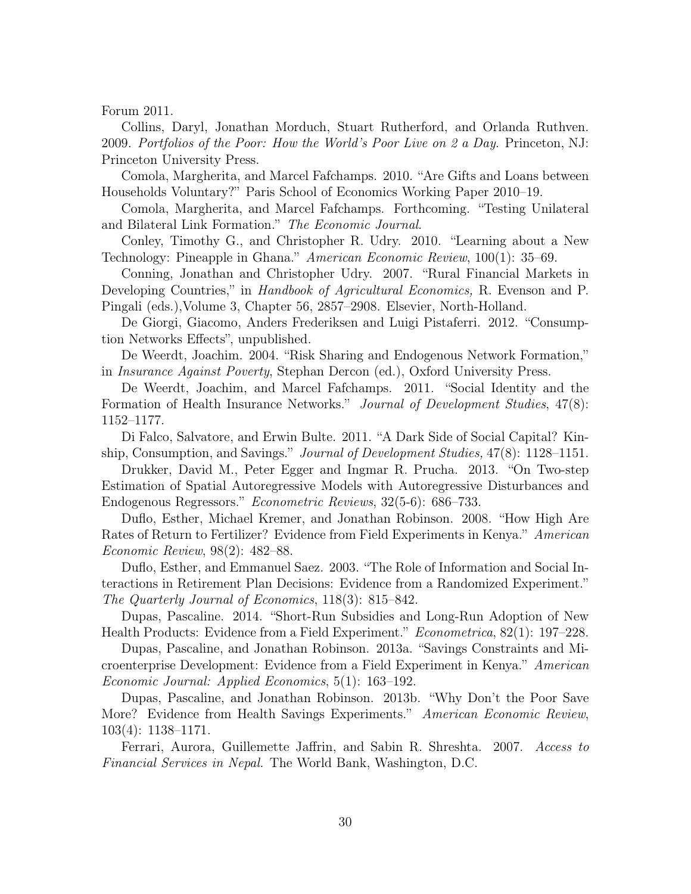Forum 2011.

Collins, Daryl, Jonathan Morduch, Stuart Rutherford, and Orlanda Ruthven. 2009. Portfolios of the Poor: How the World's Poor Live on 2 a Day. Princeton, NJ: Princeton University Press.

Comola, Margherita, and Marcel Fafchamps. 2010. "Are Gifts and Loans between Households Voluntary?" Paris School of Economics Working Paper 2010–19.

Comola, Margherita, and Marcel Fafchamps. Forthcoming. "Testing Unilateral and Bilateral Link Formation." The Economic Journal.

Conley, Timothy G., and Christopher R. Udry. 2010. "Learning about a New Technology: Pineapple in Ghana." American Economic Review, 100(1): 35–69.

Conning, Jonathan and Christopher Udry. 2007. "Rural Financial Markets in Developing Countries," in *Handbook of Agricultural Economics*, R. Evenson and P. Pingali (eds.),Volume 3, Chapter 56, 2857–2908. Elsevier, North-Holland.

De Giorgi, Giacomo, Anders Frederiksen and Luigi Pistaferri. 2012. "Consumption Networks Effects", unpublished.

De Weerdt, Joachim. 2004. "Risk Sharing and Endogenous Network Formation," in Insurance Against Poverty, Stephan Dercon (ed.), Oxford University Press.

De Weerdt, Joachim, and Marcel Fafchamps. 2011. "Social Identity and the Formation of Health Insurance Networks." Journal of Development Studies, 47(8): 1152–1177.

Di Falco, Salvatore, and Erwin Bulte. 2011. "A Dark Side of Social Capital? Kinship, Consumption, and Savings." *Journal of Development Studies*, 47(8): 1128–1151.

Drukker, David M., Peter Egger and Ingmar R. Prucha. 2013. "On Two-step Estimation of Spatial Autoregressive Models with Autoregressive Disturbances and Endogenous Regressors." Econometric Reviews, 32(5-6): 686–733.

Duflo, Esther, Michael Kremer, and Jonathan Robinson. 2008. "How High Are Rates of Return to Fertilizer? Evidence from Field Experiments in Kenya." American Economic Review, 98(2): 482–88.

Duflo, Esther, and Emmanuel Saez. 2003. "The Role of Information and Social Interactions in Retirement Plan Decisions: Evidence from a Randomized Experiment." The Quarterly Journal of Economics, 118(3): 815–842.

Dupas, Pascaline. 2014. "Short-Run Subsidies and Long-Run Adoption of New Health Products: Evidence from a Field Experiment." Econometrica, 82(1): 197–228.

Dupas, Pascaline, and Jonathan Robinson. 2013a. "Savings Constraints and Microenterprise Development: Evidence from a Field Experiment in Kenya." American Economic Journal: Applied Economics, 5(1): 163–192.

Dupas, Pascaline, and Jonathan Robinson. 2013b. "Why Don't the Poor Save More? Evidence from Health Savings Experiments." *American Economic Review*, 103(4): 1138–1171.

Ferrari, Aurora, Guillemette Jaffrin, and Sabin R. Shreshta. 2007. Access to Financial Services in Nepal. The World Bank, Washington, D.C.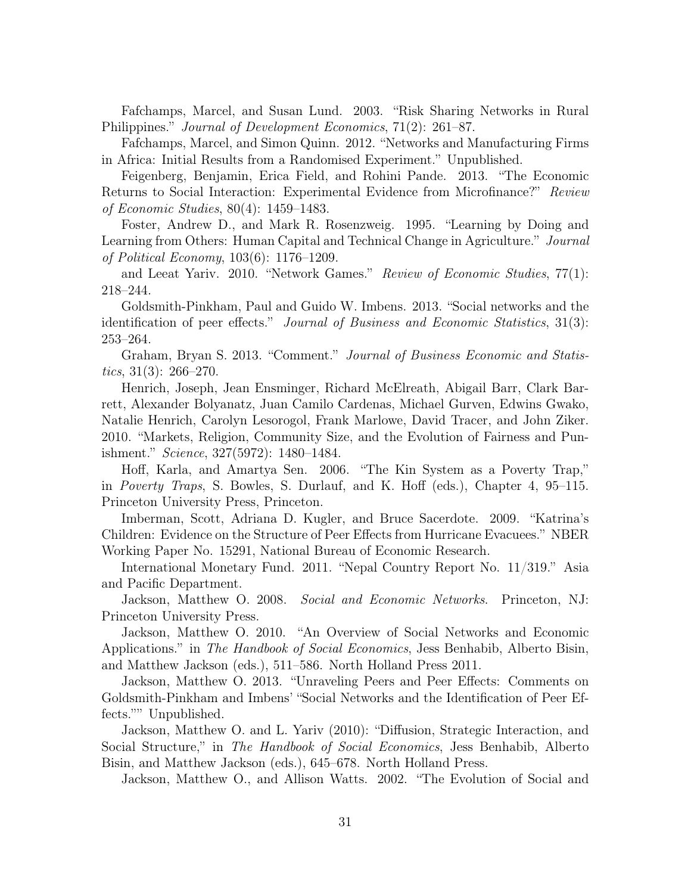Fafchamps, Marcel, and Susan Lund. 2003. "Risk Sharing Networks in Rural Philippines." Journal of Development Economics, 71(2): 261–87.

Fafchamps, Marcel, and Simon Quinn. 2012. "Networks and Manufacturing Firms in Africa: Initial Results from a Randomised Experiment." Unpublished.

Feigenberg, Benjamin, Erica Field, and Rohini Pande. 2013. "The Economic Returns to Social Interaction: Experimental Evidence from Microfinance?" Review of Economic Studies, 80(4): 1459–1483.

Foster, Andrew D., and Mark R. Rosenzweig. 1995. "Learning by Doing and Learning from Others: Human Capital and Technical Change in Agriculture." Journal of Political Economy, 103(6): 1176–1209.

and Leeat Yariv. 2010. "Network Games." Review of Economic Studies, 77(1): 218–244.

Goldsmith-Pinkham, Paul and Guido W. Imbens. 2013. "Social networks and the identification of peer effects." Journal of Business and Economic Statistics, 31(3): 253–264.

Graham, Bryan S. 2013. "Comment." Journal of Business Economic and Statistics,  $31(3)$ :  $266-270$ .

Henrich, Joseph, Jean Ensminger, Richard McElreath, Abigail Barr, Clark Barrett, Alexander Bolyanatz, Juan Camilo Cardenas, Michael Gurven, Edwins Gwako, Natalie Henrich, Carolyn Lesorogol, Frank Marlowe, David Tracer, and John Ziker. 2010. "Markets, Religion, Community Size, and the Evolution of Fairness and Punishment." Science, 327(5972): 1480–1484.

Hoff, Karla, and Amartya Sen. 2006. "The Kin System as a Poverty Trap," in Poverty Traps, S. Bowles, S. Durlauf, and K. Hoff (eds.), Chapter 4, 95–115. Princeton University Press, Princeton.

Imberman, Scott, Adriana D. Kugler, and Bruce Sacerdote. 2009. "Katrina's Children: Evidence on the Structure of Peer Effects from Hurricane Evacuees." NBER Working Paper No. 15291, National Bureau of Economic Research.

International Monetary Fund. 2011. "Nepal Country Report No. 11/319." Asia and Pacific Department.

Jackson, Matthew O. 2008. Social and Economic Networks. Princeton, NJ: Princeton University Press.

Jackson, Matthew O. 2010. "An Overview of Social Networks and Economic Applications." in *The Handbook of Social Economics*, Jess Benhabib, Alberto Bisin, and Matthew Jackson (eds.), 511–586. North Holland Press 2011.

Jackson, Matthew O. 2013. "Unraveling Peers and Peer Effects: Comments on Goldsmith-Pinkham and Imbens' "Social Networks and the Identification of Peer Effects."" Unpublished.

Jackson, Matthew O. and L. Yariv (2010): "Diffusion, Strategic Interaction, and Social Structure," in *The Handbook of Social Economics*, Jess Benhabib, Alberto Bisin, and Matthew Jackson (eds.), 645–678. North Holland Press.

Jackson, Matthew O., and Allison Watts. 2002. "The Evolution of Social and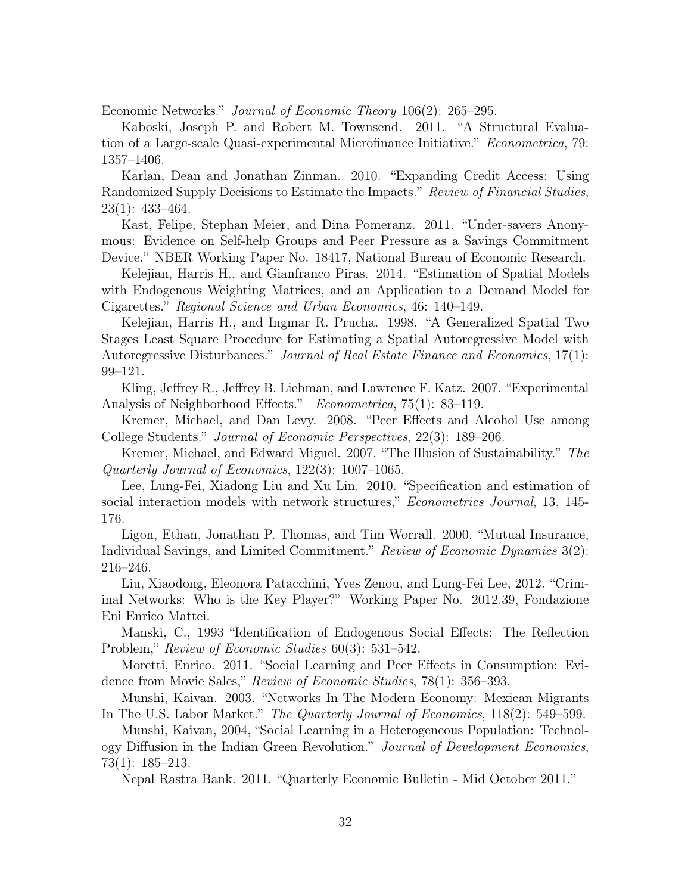Economic Networks." Journal of Economic Theory 106(2): 265–295.

Kaboski, Joseph P. and Robert M. Townsend. 2011. "A Structural Evaluation of a Large-scale Quasi-experimental Microfinance Initiative." Econometrica, 79: 1357–1406.

Karlan, Dean and Jonathan Zinman. 2010. "Expanding Credit Access: Using Randomized Supply Decisions to Estimate the Impacts." Review of Financial Studies, 23(1): 433–464.

Kast, Felipe, Stephan Meier, and Dina Pomeranz. 2011. "Under-savers Anonymous: Evidence on Self-help Groups and Peer Pressure as a Savings Commitment Device." NBER Working Paper No. 18417, National Bureau of Economic Research.

Kelejian, Harris H., and Gianfranco Piras. 2014. "Estimation of Spatial Models with Endogenous Weighting Matrices, and an Application to a Demand Model for Cigarettes." Regional Science and Urban Economics, 46: 140–149.

Kelejian, Harris H., and Ingmar R. Prucha. 1998. "A Generalized Spatial Two Stages Least Square Procedure for Estimating a Spatial Autoregressive Model with Autoregressive Disturbances." Journal of Real Estate Finance and Economics, 17(1): 99–121.

Kling, Jeffrey R., Jeffrey B. Liebman, and Lawrence F. Katz. 2007. "Experimental Analysis of Neighborhood Effects." Econometrica, 75(1): 83–119.

Kremer, Michael, and Dan Levy. 2008. "Peer Effects and Alcohol Use among College Students." Journal of Economic Perspectives, 22(3): 189–206.

Kremer, Michael, and Edward Miguel. 2007. "The Illusion of Sustainability." The Quarterly Journal of Economics, 122(3): 1007–1065.

Lee, Lung-Fei, Xiadong Liu and Xu Lin. 2010. "Specification and estimation of social interaction models with network structures," *Econometrics Journal*, 13, 145-176.

Ligon, Ethan, Jonathan P. Thomas, and Tim Worrall. 2000. "Mutual Insurance, Individual Savings, and Limited Commitment." Review of Economic Dynamics 3(2): 216–246.

Liu, Xiaodong, Eleonora Patacchini, Yves Zenou, and Lung-Fei Lee, 2012. "Criminal Networks: Who is the Key Player?" Working Paper No. 2012.39, Fondazione Eni Enrico Mattei.

Manski, C., 1993 "Identification of Endogenous Social Effects: The Reflection Problem," Review of Economic Studies 60(3): 531–542.

Moretti, Enrico. 2011. "Social Learning and Peer Effects in Consumption: Evidence from Movie Sales," Review of Economic Studies, 78(1): 356–393.

Munshi, Kaivan. 2003. "Networks In The Modern Economy: Mexican Migrants In The U.S. Labor Market." The Quarterly Journal of Economics, 118(2): 549–599.

Munshi, Kaivan, 2004, "Social Learning in a Heterogeneous Population: Technology Diffusion in the Indian Green Revolution." Journal of Development Economics, 73(1): 185–213.

Nepal Rastra Bank. 2011. "Quarterly Economic Bulletin - Mid October 2011."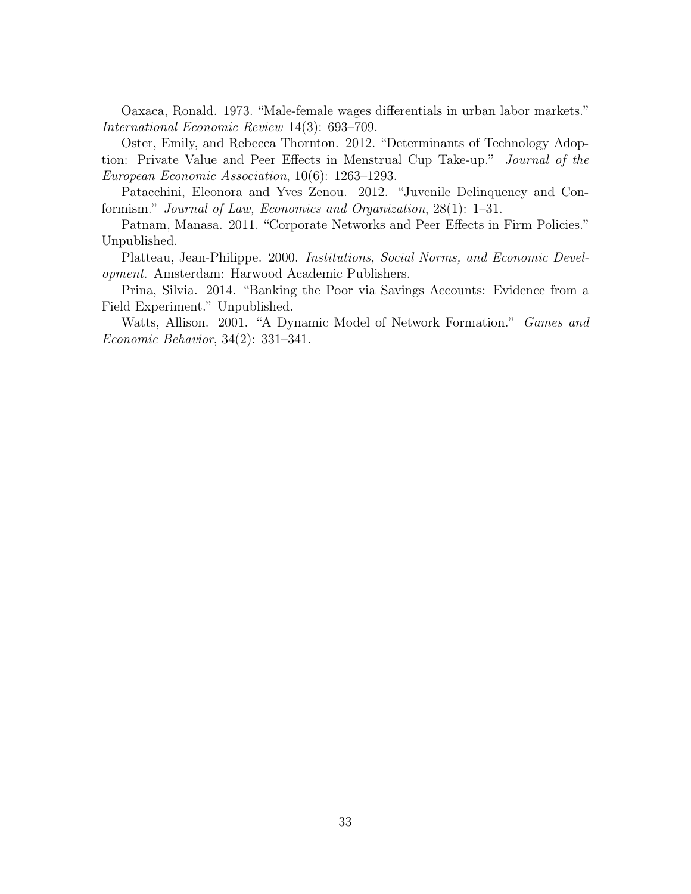Oaxaca, Ronald. 1973. "Male-female wages differentials in urban labor markets." International Economic Review 14(3): 693–709.

Oster, Emily, and Rebecca Thornton. 2012. "Determinants of Technology Adoption: Private Value and Peer Effects in Menstrual Cup Take-up." Journal of the European Economic Association, 10(6): 1263–1293.

Patacchini, Eleonora and Yves Zenou. 2012. "Juvenile Delinquency and Conformism." Journal of Law, Economics and Organization, 28(1): 1–31.

Patnam, Manasa. 2011. "Corporate Networks and Peer Effects in Firm Policies." Unpublished.

Platteau, Jean-Philippe. 2000. Institutions, Social Norms, and Economic Development. Amsterdam: Harwood Academic Publishers.

Prina, Silvia. 2014. "Banking the Poor via Savings Accounts: Evidence from a Field Experiment." Unpublished.

Watts, Allison. 2001. "A Dynamic Model of Network Formation." Games and Economic Behavior, 34(2): 331–341.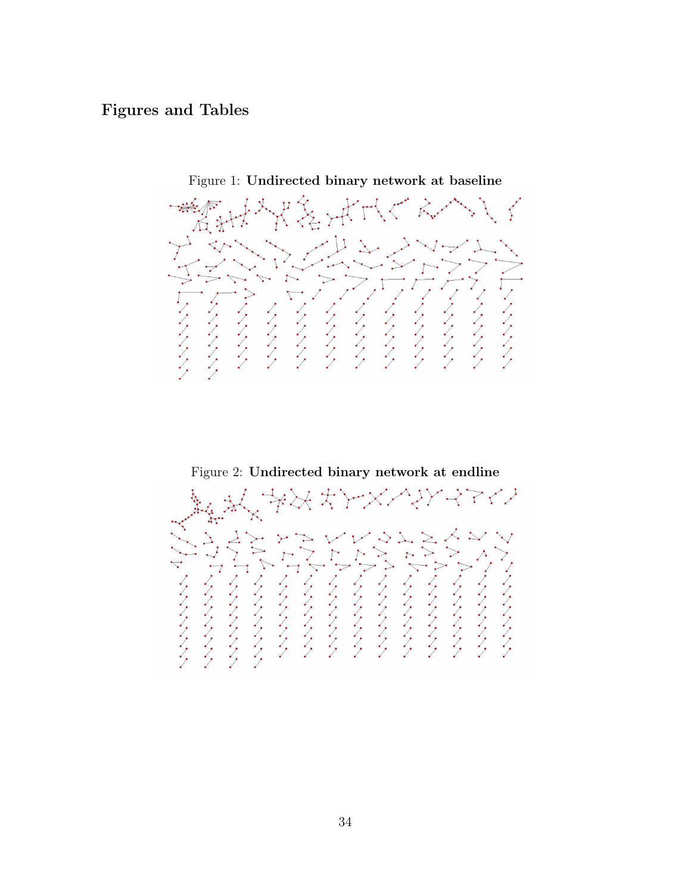# Figures and Tables



Figure 1: Undirected binary network at baseline

Figure 2: Undirected binary network at endline

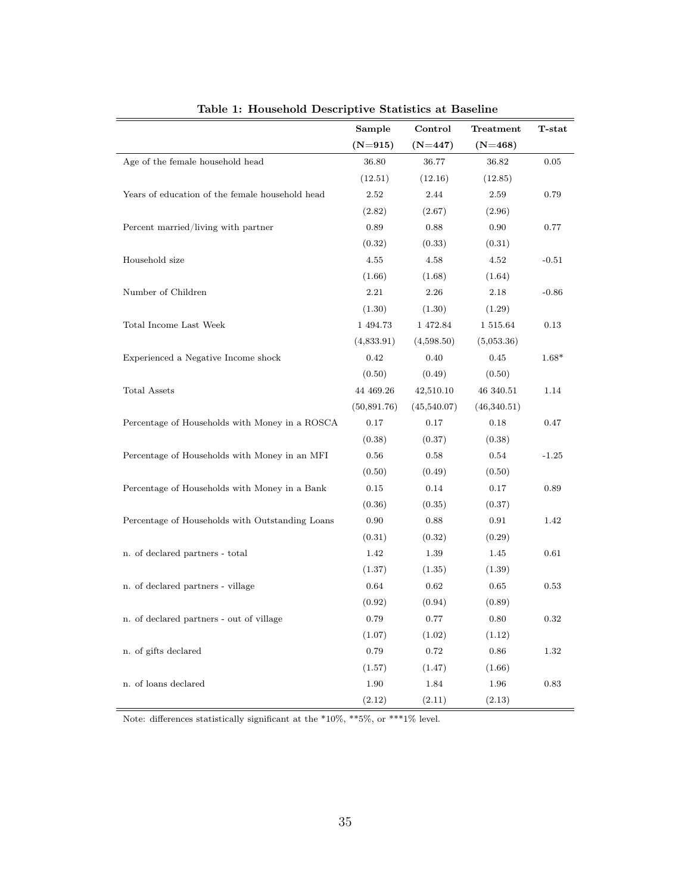|                                                 | Sample      | Control     | Treatment   | T-stat  |
|-------------------------------------------------|-------------|-------------|-------------|---------|
|                                                 | $(N=915)$   | $(N=447)$   | $(N=468)$   |         |
| Age of the female household head                | 36.80       | 36.77       | 36.82       | 0.05    |
|                                                 | (12.51)     | (12.16)     | (12.85)     |         |
| Years of education of the female household head | 2.52        | 2.44        | 2.59        | 0.79    |
|                                                 | (2.82)      | (2.67)      | (2.96)      |         |
| Percent married/living with partner             | 0.89        | 0.88        | 0.90        | 0.77    |
|                                                 | (0.32)      | (0.33)      | (0.31)      |         |
| Household size                                  | 4.55        | 4.58        | 4.52        | $-0.51$ |
|                                                 | (1.66)      | (1.68)      | (1.64)      |         |
| Number of Children                              | 2.21        | 2.26        | 2.18        | $-0.86$ |
|                                                 | (1.30)      | (1.30)      | (1.29)      |         |
| Total Income Last Week                          | 1 494.73    | 1 472.84    | 1 515.64    | 0.13    |
|                                                 | (4,833.91)  | (4,598.50)  | (5,053.36)  |         |
| Experienced a Negative Income shock             | 0.42        | 0.40        | 0.45        | $1.68*$ |
|                                                 | (0.50)      | (0.49)      | (0.50)      |         |
| <b>Total Assets</b>                             | 44 469.26   | 42,510.10   | 46 340.51   | 1.14    |
|                                                 | (50,891.76) | (45,540.07) | (46,340.51) |         |
| Percentage of Households with Money in a ROSCA  | 0.17        | 0.17        | 0.18        | 0.47    |
|                                                 | (0.38)      | (0.37)      | (0.38)      |         |
| Percentage of Households with Money in an MFI   | 0.56        | 0.58        | 0.54        | $-1.25$ |
|                                                 | (0.50)      | (0.49)      | (0.50)      |         |
| Percentage of Households with Money in a Bank   | 0.15        | 0.14        | 0.17        | 0.89    |
|                                                 | (0.36)      | (0.35)      | (0.37)      |         |
| Percentage of Households with Outstanding Loans | 0.90        | 0.88        | 0.91        | 1.42    |
|                                                 | (0.31)      | (0.32)      | (0.29)      |         |
| n. of declared partners - total                 | 1.42        | 1.39        | 1.45        | 0.61    |
|                                                 | (1.37)      | (1.35)      | (1.39)      |         |
| n. of declared partners - village               | 0.64        | 0.62        | 0.65        | 0.53    |
|                                                 | (0.92)      | (0.94)      | (0.89)      |         |
| n. of declared partners - out of village        | 0.79        | 0.77        | 0.80        | 0.32    |
|                                                 | (1.07)      | (1.02)      | (1.12)      |         |
| n. of gifts declared                            | 0.79        | 0.72        | 0.86        | 1.32    |
|                                                 | (1.57)      | (1.47)      | (1.66)      |         |
| n. of loans declared                            | 1.90        | 1.84        | 1.96        | 0.83    |
|                                                 | (2.12)      | (2.11)      | (2.13)      |         |

Table 1: Household Descriptive Statistics at Baseline

Note: differences statistically significant at the  $*10\%$ ,  $**5\%$ , or  $***1\%$  level.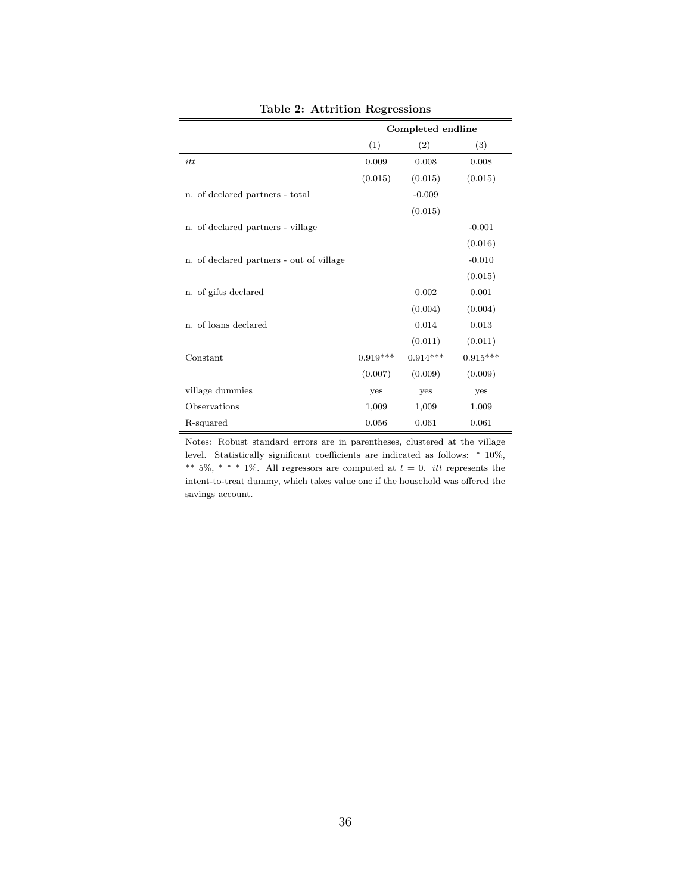|                                          |            | Completed endline |            |
|------------------------------------------|------------|-------------------|------------|
|                                          | (1)        | (2)               | (3)        |
| itt                                      | 0.009      | 0.008             | 0.008      |
|                                          | (0.015)    | (0.015)           | (0.015)    |
| n. of declared partners - total          |            | $-0.009$          |            |
|                                          |            | (0.015)           |            |
| n. of declared partners - village        |            |                   | $-0.001$   |
|                                          |            |                   | (0.016)    |
| n. of declared partners - out of village |            |                   | $-0.010$   |
|                                          |            |                   | (0.015)    |
| n. of gifts declared                     |            | 0.002             | 0.001      |
|                                          |            | (0.004)           | (0.004)    |
| n. of loans declared                     |            | 0.014             | 0.013      |
|                                          |            | (0.011)           | (0.011)    |
| Constant                                 | $0.919***$ | $0.914***$        | $0.915***$ |
|                                          | (0.007)    | (0.009)           | (0.009)    |
| village dummies                          | yes        | yes               | yes        |
| Observations                             | 1,009      | 1,009             | 1,009      |
| R-squared                                | 0.056      | 0.061             | 0.061      |

Table 2: Attrition Regressions

Notes: Robust standard errors are in parentheses, clustered at the village level. Statistically significant coefficients are indicated as follows: \* 10%, \*\* 5%, \* \* \* 1%. All regressors are computed at  $t = 0$ . *itt* represents the intent-to-treat dummy, which takes value one if the household was offered the savings account.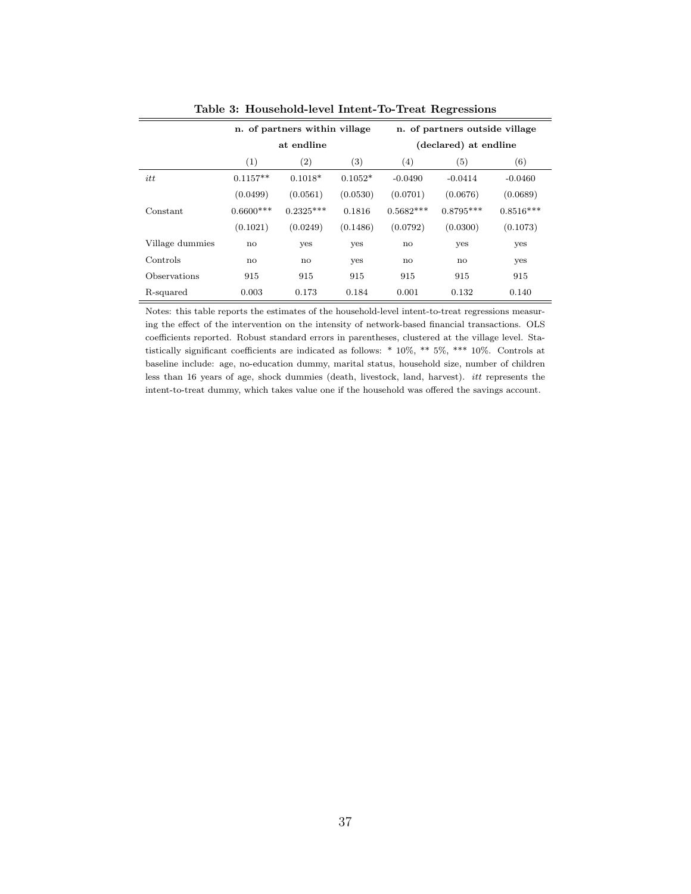|                 |              | n. of partners within village |           | n. of partners outside village |                       |             |  |
|-----------------|--------------|-------------------------------|-----------|--------------------------------|-----------------------|-------------|--|
|                 |              | at endline                    |           |                                | (declared) at endline |             |  |
|                 | (1)          | $\left( 2\right)$             | (3)       | (4)                            | (5)                   | (6)         |  |
| itt             | $0.1157**$   | $0.1018*$                     | $0.1052*$ | $-0.0490$                      | $-0.0414$             | $-0.0460$   |  |
|                 | (0.0499)     | (0.0561)                      | (0.0530)  | (0.0701)                       | (0.0676)              | (0.0689)    |  |
| Constant        | $0.6600***$  | $0.2325***$                   | 0.1816    | $0.5682***$                    | $0.8795***$           | $0.8516***$ |  |
|                 | (0.1021)     | (0.0249)                      | (0.1486)  | (0.0792)                       | (0.0300)              | (0.1073)    |  |
| Village dummies | $\mathbf{n}$ | yes                           | yes       | no                             | yes                   | yes         |  |
| Controls        | no           | no                            | yes       | no                             | no                    | yes         |  |
| Observations    | 915          | 915                           | 915       | 915                            | 915                   | 915         |  |
| R-squared       | 0.003        | 0.173                         | 0.184     | 0.001                          | 0.132                 | 0.140       |  |

Table 3: Household-level Intent-To-Treat Regressions

Notes: this table reports the estimates of the household-level intent-to-treat regressions measuring the effect of the intervention on the intensity of network-based financial transactions. OLS coefficients reported. Robust standard errors in parentheses, clustered at the village level. Statistically significant coefficients are indicated as follows: \* 10%, \*\* 5%, \*\*\* 10%. Controls at baseline include: age, no-education dummy, marital status, household size, number of children less than 16 years of age, shock dummies (death, livestock, land, harvest). itt represents the intent-to-treat dummy, which takes value one if the household was offered the savings account.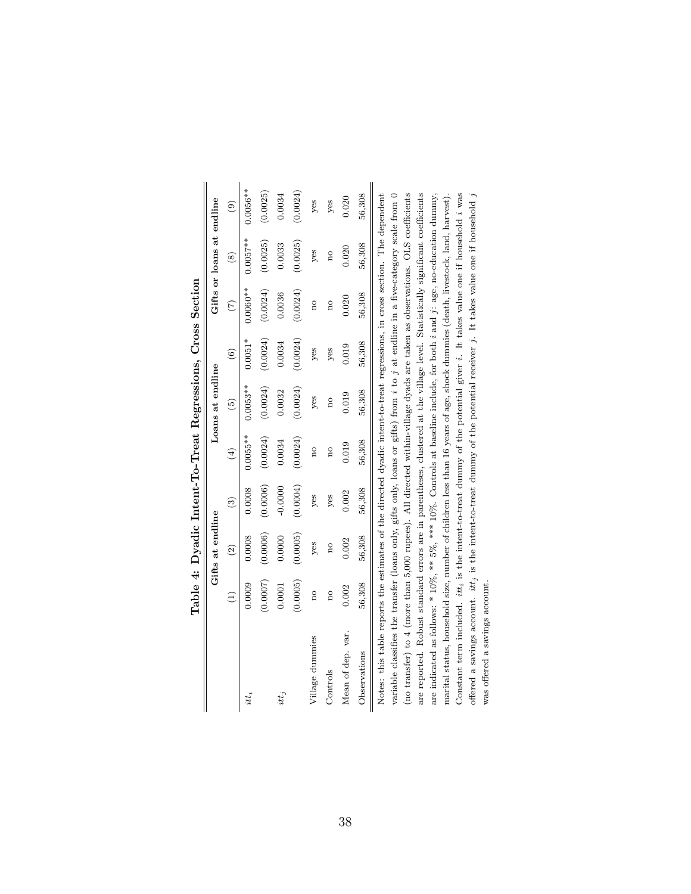|                                                                                                                             |                 |                  |               |                              |                  |               | rante +: Dyaduc muent-real negressions, creations open |                           |          |
|-----------------------------------------------------------------------------------------------------------------------------|-----------------|------------------|---------------|------------------------------|------------------|---------------|--------------------------------------------------------|---------------------------|----------|
|                                                                                                                             |                 | Gifts at endline |               |                              | Loans at endline |               |                                                        | Gifts or loans at endline |          |
|                                                                                                                             | $\widehat{\Xi}$ | $\widehat{c}$    | $\widehat{c}$ | $\left( \frac{4}{2} \right)$ | $\widehat{5}$    | $\widehat{6}$ | $\widetilde{\Xi}$                                      | $\circledast$             | ම        |
| itt <sub>i</sub>                                                                                                            | 0.0009          | 0.0008           | 0.0008        | $0.0055***$                  | $0.0053***$      | $0.0051*$     | $0.0060**$                                             | $0.0057**$                | 1.0056** |
|                                                                                                                             | (0.0007)        | (0.0006)         | (0.0006)      | (0.0024)                     | (0.0024)         | (0.0024)      | (0.0024)                                               | (0.0025)                  | (0.0025) |
| $it_i$                                                                                                                      | 0.0001          | 0.0000           | $-0.0000$     | 0.0034                       | 0.0032           | 0.0034        | 0.0036                                                 | 0.0033                    | 0.0034   |
|                                                                                                                             | (0.0005)        | (0.0005)         | (0.0004)      | (0.0024)                     | (0.0024)         | (0.0024)      | (0.0024)                                               | (0.0025)                  | (0.0024) |
| Village dummies                                                                                                             | $\frac{1}{2}$   | yes              | yes           | ho                           | yes              | yes           | no                                                     | yes                       | yes      |
| Controls                                                                                                                    | ho              | ho               | yes           | $\overline{a}$               | ho               | yes           | ho                                                     | ã                         | yes      |
| Mean of dep. var.                                                                                                           | 0.002           | 0.002            | 0.002         | 0.019                        | 0.019            | 0.019         | 0.020                                                  | 0.020                     | 0.020    |
| Observations                                                                                                                | 56,308          | 56,308           | 56,308        | 56,308                       | 56,308           | 56,308        | 56,308                                                 | 56,308                    | 56,308   |
| Notes: this table reports the estimates of the directed dyadic intent-to-treat regressions, in cross section. The dependent |                 |                  |               |                              |                  |               |                                                        |                           |          |

Cross Section Table 4: Dyadic Intent-To-Treat Regressions, Cross Section Table 4: Dvadic Intent-To-Treat Regressions.

 $\overline{\mathbf{u}}$ variable classifies the transfer (loans only, gifts only, loans or gifts) from  $i$  to  $j$  at endline in a five-category scale from  $0$ (no transfer) to 4 (more than 5,000 rupees). All directed within-village dyads are taken as observations. OLS coefficients variable classifies the transfer (loans only, gifts only, loans or gifts) from  $i$  to  $j$  at endline in a five-category scale from  $0$ are reported. Robust standard errors are in parentheses, clustered at the village level. Statistically significant coefficients are indicated as follows: \* 10%, \*\* 5%, \*\*\* 10%. Controls at baseline include, for both *i* and *j*: age, no-education dummy, marital status, household size, number of children less than 16 years of age, shock dummies (death, livestock, land, harvest). Constant term included.  $itti_i$  is the intent-to-treat dummy of the potential giver  $i$ . It takes value one if household  $i$  was offered a savings account.  $it t_j$  is the intent-to-treat dummy of the potential receiver  $j$ . It takes value one if household  $j$ (no transfer) to 4 (more than 5,000 rupees). All directed within-village dyads are taken as observations. OLS coefficients are reported. Robust standard errors are in parentheses, clustered at the village level. Statistically significant coefficients Constant term included.  $itti$  is the intent-to-treat dummy of the potential giver  $i$ . It takes value one if household  $i$  was Notes: this table reports the estimates of the directed dyadic intent-to-treat regressions, in cross section. The dependent are indicated as follows: \* 10%, \*\* 5%, \*\*\* 10%. Controls at baseline include, for both i and j: age, no-education dummy, marital status, household size, number of children less than 16 years of age, shock dummies (death, livestock, land, harvest). offered a savings account.  $itt_j$  is the intent-to-treat dummy of the potential receiver j. It takes value one if household j was offered a savings account. was offered a savings account.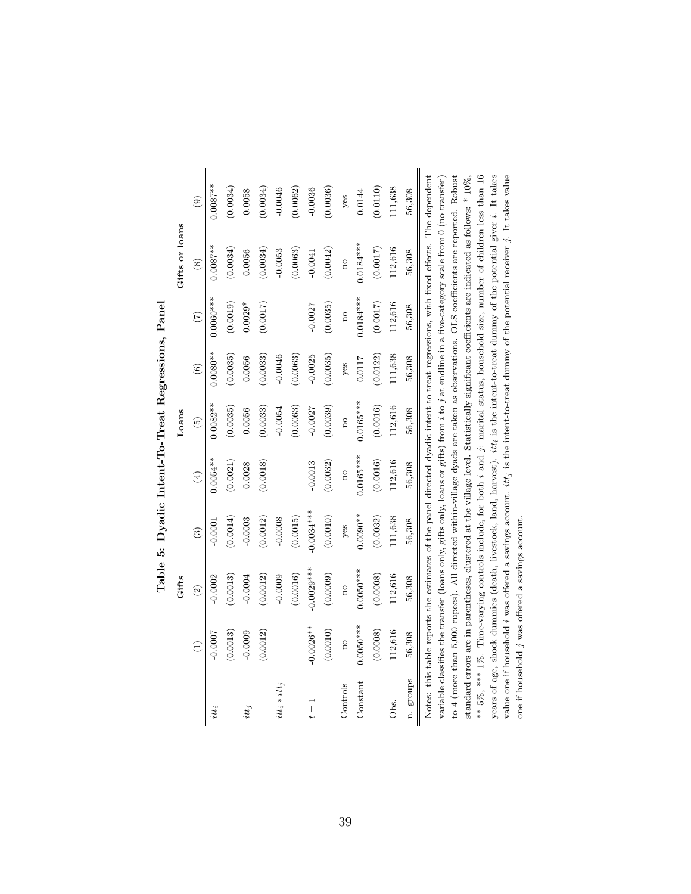|                  |                     | Gifts         |                        |             | Loans         |                        |                 | Gifts or loans                                                                                                                                                                                                                                                                            |               |
|------------------|---------------------|---------------|------------------------|-------------|---------------|------------------------|-----------------|-------------------------------------------------------------------------------------------------------------------------------------------------------------------------------------------------------------------------------------------------------------------------------------------|---------------|
|                  | $\widehat{E}$       | $\widehat{c}$ | $\widehat{\mathbf{e}}$ | $\bigoplus$ | $\widehat{5}$ | $\widehat{\mathbf{6}}$ | $\widetilde{C}$ | $\circledast$                                                                                                                                                                                                                                                                             | $\widehat{e}$ |
| itt <sub>i</sub> | $-0.0007$           | 0.0002        | $-0.000$               | $0.0054***$ | $0.0082**$    | $0.0080**$             | $0.0060***$     | $0.0087***$                                                                                                                                                                                                                                                                               | $0.0087***$   |
|                  | (0.0013)            | (0.0013)      | (0.0014)               | (0.0021)    | (0.0035)      | (0.0035)               | (0.0019)        | (0.0034)                                                                                                                                                                                                                                                                                  | (0.0034)      |
| $it_{i}$         | $-0.0009$           | $-0.0004$     | $-0.0003$              | 0.0028      | 0.0056        | 0.0056                 | $0.0029*$       | 0.0056                                                                                                                                                                                                                                                                                    | 0.0058        |
|                  | (0.0012)            | (0.0012)      | (0.0012)               | (0.0018)    | (0.0033)      | (0.0033)               | (0.0017)        | (0.0034)                                                                                                                                                                                                                                                                                  | (0.0034)      |
| $itt_i * itt_j$  |                     | $-0.0009$     | $-0.0008$              |             | $-0.0054$     | $-0.0046$              |                 | $-0.0053$                                                                                                                                                                                                                                                                                 | $-0.0046$     |
|                  |                     | (0.0016)      | (0.0015)               |             | 0.0063)       | (0.0063)               |                 | (0.0063)                                                                                                                                                                                                                                                                                  | (0.0062)      |
| ΪÏ               | $-0.0026**$         | $-0.0029***$  | $-0.0034***$           | $-0.0013$   | $-0.0027$     | $-0.0025$              | $-0.0027$       | $-0.0041$                                                                                                                                                                                                                                                                                 | $-0.0036$     |
|                  | (0.0010)            | (0.0009)      | (0.0010)               | (0.0032)    | (0.0039)      | (0.0035)               | (0.0035)        | (0.0042)                                                                                                                                                                                                                                                                                  | (0.0036)      |
| Controls         | $\overline{\Omega}$ | no            | yes                    | no          | no            | yes                    | no              | no                                                                                                                                                                                                                                                                                        | yes           |
| Constant         | $0.0050***$         | $0.0050***$   | $0.0090**$             | $0.0165***$ | $0.0165***$   | 0.0117                 | $0.0184***$     | $0.0184***$                                                                                                                                                                                                                                                                               | 0.0144        |
|                  | (0.0008)            | (0.0008)      | (0.0032)               | (0.0016)    | (0.0016)      | (0.0122)               | (0.0017)        | (0.0017)                                                                                                                                                                                                                                                                                  | (0.0110)      |
| Obs.             | 112,616             | 112,616       | 111,638                | 112,616     | 112,616       | 111,638                | 112,616         | 112,616                                                                                                                                                                                                                                                                                   | 111,638       |
| n. groups        | 56,308              | 56,308        | 56,308                 | 56,308      | 56,308        | 56,308                 | 56,308          | 56,308                                                                                                                                                                                                                                                                                    | 56,308        |
|                  |                     |               |                        |             |               |                        |                 | Notes: this table reports the estimates of the panel directed dyadic intent-to-treat regressions, with fixed effects. The dependent<br>variable classifies the transfer (loans only, gifts only, loans or gifts) from $i$ to $j$ at endline in a five-category scale from 0 (no transfer) |               |

Table 5: Dyadic Intent-To-Treat Regressions, Panel Table 5: Dyadic Intent-To-Treat Regressions, Panel  $\mathbf{I}$ to 4 (more than 5,000 rupees). All directed within-village dyads are taken as observations. OLS coefficients are reported. Robust \*\* 5%, \*\*\* 1%. Time-varying controls include, for both *i* and *j*: marital status, household size, number of children less than 16 years of age, shock dummies (death, livestock, land, harvest). itt, is the intent-to-treat dummy of the potential giver i. It takes value one if household  $i$  was offered a savings account.  $it,$  is the intent-to-treat dummy of the potential receiver  $j$ . It takes value standard errors are in parentheses, clustered at the village level. Statistically significant coefficients are indicated as follows: \*  $10\%$ , \*\* 5%, \*\*\* 1%. Time-varying controls include, for both i and j: marital status, household size, number of children less than 16 years of age, shock dummies (death, livestock, land, harvest). itti is the intent-to-treat dummy of the potential giver i. It takes value one if household i was offered a savings account.  $it_j$  is the intent-to-treat dummy of the potential receiver  $j$ . It takes value variable classifies the transfer (loans only, gifts only, loans or gifts) from i to j at endline in a five-category scale from 0 (no transfer) to 4 (more than 5,000 rupees). All directed within-village dyads are taken as observations. OLS coefficients are reported. Robust standard errors are in parentheses, clustered at the village level. Statistically significant coefficients are indicated as follows: \* 10%, one if household j was offered a savings account. one if household j was offered a savings account.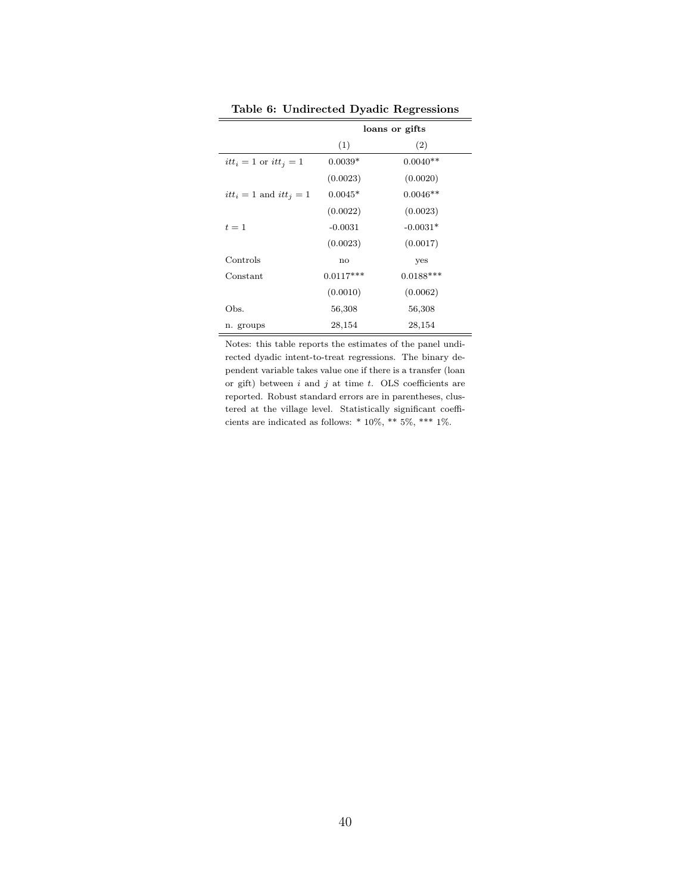|                             |             | loans or gifts |
|-----------------------------|-------------|----------------|
|                             | (1)         | (2)            |
| $itt_i = 1$ or $itt_j = 1$  | $0.0039*$   | $0.0040**$     |
|                             | (0.0023)    | (0.0020)       |
| $itt_i = 1$ and $itt_i = 1$ | $0.0045*$   | $0.0046**$     |
|                             | (0.0022)    | (0.0023)       |
| $t=1$                       | $-0.0031$   | $-0.0031*$     |
|                             | (0.0023)    | (0.0017)       |
| Controls                    | no          | yes            |
| Constant                    | $0.0117***$ | $0.0188***$    |
|                             | (0.0010)    | (0.0062)       |
| Obs.                        | 56,308      | 56,308         |
| n. groups                   | 28,154      | 28,154         |

Table 6: Undirected Dyadic Regressions

Notes: this table reports the estimates of the panel undirected dyadic intent-to-treat regressions. The binary dependent variable takes value one if there is a transfer (loan or gift) between  $i$  and  $j$  at time  $t$ . OLS coefficients are reported. Robust standard errors are in parentheses, clustered at the village level. Statistically significant coefficients are indicated as follows: \* 10%, \*\* 5%, \*\*\* 1%.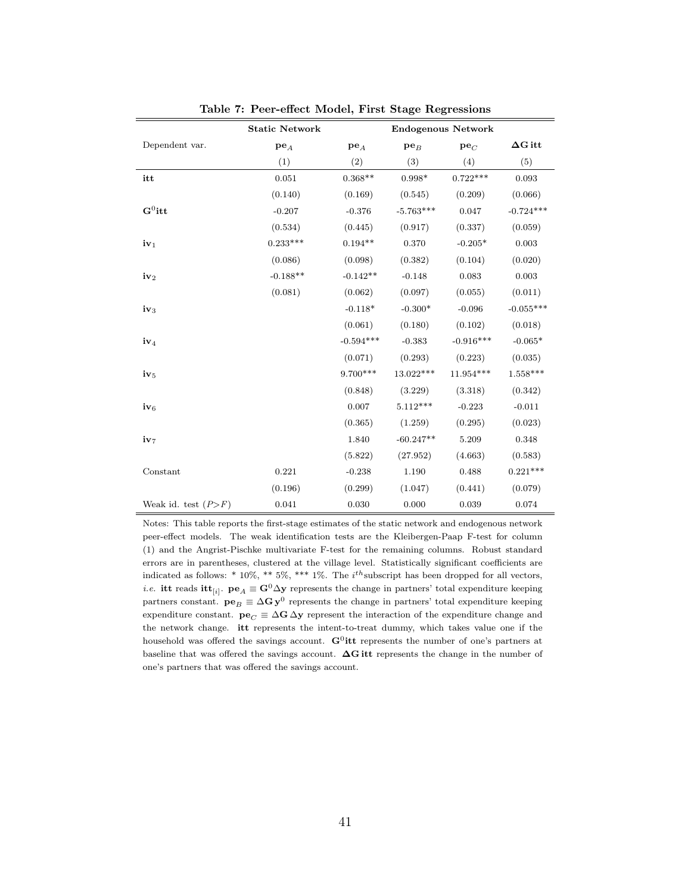|                       | <b>Static Network</b> |             |             | <b>Endogenous Network</b> |                |
|-----------------------|-----------------------|-------------|-------------|---------------------------|----------------|
| Dependent var.        | $pe_A$                | $pe_A$      | $pe_B$      | $pe_C$                    | $\Delta G$ itt |
|                       | (1)                   | (2)         | (3)         | (4)                       | (5)            |
| itt                   | 0.051                 | $0.368**$   | $0.998*$    | $0.722***$                | 0.093          |
|                       | (0.140)               | (0.169)     | (0.545)     | (0.209)                   | (0.066)        |
| $\mathbf{G}^0$ itt    | $-0.207$              | $-0.376$    | $-5.763***$ | 0.047                     | $-0.724***$    |
|                       | (0.534)               | (0.445)     | (0.917)     | (0.337)                   | (0.059)        |
| $iv_1$                | $0.233***$            | $0.194**$   | 0.370       | $-0.205*$                 | 0.003          |
|                       | (0.086)               | (0.098)     | (0.382)     | (0.104)                   | (0.020)        |
| $iv_2$                | $-0.188**$            | $-0.142**$  | $-0.148$    | 0.083                     | 0.003          |
|                       | (0.081)               | (0.062)     | (0.097)     | (0.055)                   | (0.011)        |
| $iv_3$                |                       | $-0.118*$   | $-0.300*$   | $-0.096$                  | $-0.055***$    |
|                       |                       | (0.061)     | (0.180)     | (0.102)                   | (0.018)        |
| $iv_4$                |                       | $-0.594***$ | $-0.383$    | $-0.916***$               | $-0.065*$      |
|                       |                       | (0.071)     | (0.293)     | (0.223)                   | (0.035)        |
| $iv_5$                |                       | $9.700***$  | 13.022***   | 11.954***                 | $1.558***$     |
|                       |                       | (0.848)     | (3.229)     | (3.318)                   | (0.342)        |
| $iv_6$                |                       | 0.007       | $5.112***$  | $-0.223$                  | $-0.011$       |
|                       |                       | (0.365)     | (1.259)     | (0.295)                   | (0.023)        |
| iv7                   |                       | 1.840       | $-60.247**$ | 5.209                     | 0.348          |
|                       |                       | (5.822)     | (27.952)    | (4.663)                   | (0.583)        |
| Constant              | 0.221                 | $-0.238$    | 1.190       | 0.488                     | $0.221***$     |
|                       | (0.196)               | (0.299)     | (1.047)     | (0.441)                   | (0.079)        |
| Weak id. test $(P>F)$ | 0.041                 | 0.030       | 0.000       | 0.039                     | 0.074          |

Table 7: Peer-effect Model, First Stage Regressions

Notes: This table reports the first-stage estimates of the static network and endogenous network peer-effect models. The weak identification tests are the Kleibergen-Paap F-test for column (1) and the Angrist-Pischke multivariate F-test for the remaining columns. Robust standard errors are in parentheses, clustered at the village level. Statistically significant coefficients are indicated as follows:  $*$  10%,  $**$  5%,  $***$  1%. The  $i<sup>th</sup>$ subscript has been dropped for all vectors, *i.e.* itt reads itt<sub>[i]</sub>.  $pe_A \equiv G^0 \Delta y$  represents the change in partners' total expenditure keeping partners constant.  $\mathbf{p} \mathbf{e}_B \equiv \Delta \mathbf{G} \mathbf{y}^0$  represents the change in partners' total expenditure keeping expenditure constant.  $\mathbf{pe}_C \equiv \Delta \mathbf{G} \Delta \mathbf{y}$  represent the interaction of the expenditure change and the network change. itt represents the intent-to-treat dummy, which takes value one if the household was offered the savings account.  $\mathbf{G}^0$ **itt** represents the number of one's partners at baseline that was offered the savings account. ∆G itt represents the change in the number of one's partners that was offered the savings account.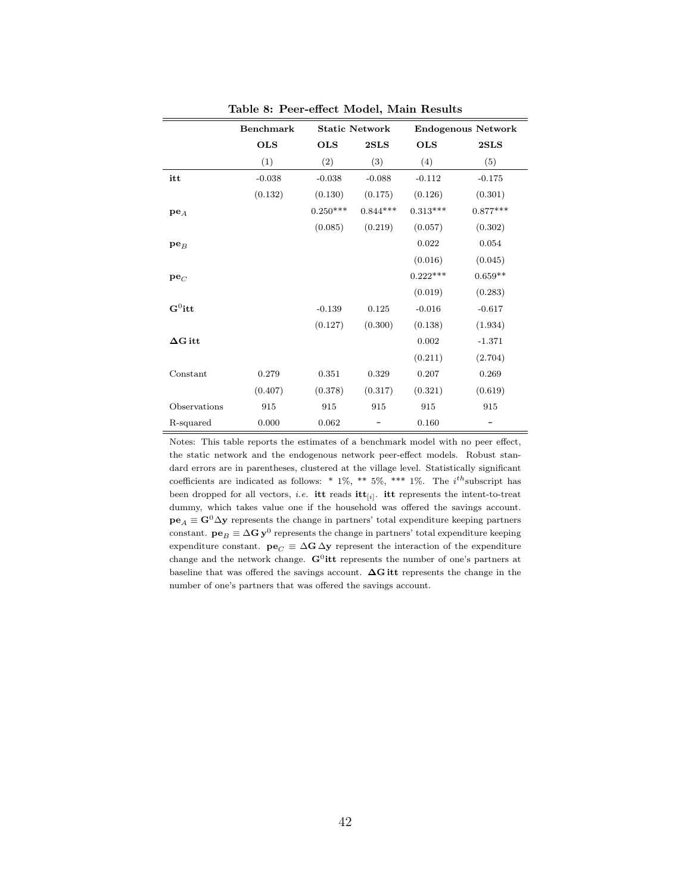|                    | <b>Benchmark</b> | <b>Static Network</b> |            |            | <b>Endogenous Network</b> |
|--------------------|------------------|-----------------------|------------|------------|---------------------------|
|                    | <b>OLS</b>       | <b>OLS</b>            | 2SLS       | <b>OLS</b> | 2SLS                      |
|                    | (1)              | (2)                   | (3)        | (4)        | (5)                       |
| itt                | $-0.038$         | $-0.038$              | $-0.088$   | $-0.112$   | $-0.175$                  |
|                    | (0.132)          | (0.130)               | (0.175)    | (0.126)    | (0.301)                   |
| $pe_A$             |                  | $0.250***$            | $0.844***$ | $0.313***$ | $0.877***$                |
|                    |                  | (0.085)               | (0.219)    | (0.057)    | (0.302)                   |
| $pe_B$             |                  |                       |            | 0.022      | 0.054                     |
|                    |                  |                       |            | (0.016)    | (0.045)                   |
| $pe_C$             |                  |                       |            | $0.222***$ | $0.659**$                 |
|                    |                  |                       |            | (0.019)    | (0.283)                   |
| $\mathbf{G}^0$ itt |                  | $-0.139$              | 0.125      | $-0.016$   | $-0.617$                  |
|                    |                  | (0.127)               | (0.300)    | (0.138)    | (1.934)                   |
| $\Delta G$ itt     |                  |                       |            | 0.002      | $-1.371$                  |
|                    |                  |                       |            | (0.211)    | (2.704)                   |
| Constant           | 0.279            | 0.351                 | 0.329      | 0.207      | 0.269                     |
|                    | (0.407)          | (0.378)               | (0.317)    | (0.321)    | (0.619)                   |
| Observations       | 915              | 915                   | 915        | 915        | 915                       |
| R-squared          | 0.000            | 0.062                 |            | 0.160      |                           |

Table 8: Peer-effect Model, Main Results

Notes: This table reports the estimates of a benchmark model with no peer effect, the static network and the endogenous network peer-effect models. Robust standard errors are in parentheses, clustered at the village level. Statistically significant coefficients are indicated as follows: \*  $1\%$ , \*\*  $5\%$ , \*\*\*  $1\%$ . The  $i^{th}$ subscript has been dropped for all vectors, *i.e.* **itt** reads  $\textbf{itt}_{[i]}$ . **itt** represents the intent-to-treat dummy, which takes value one if the household was offered the savings account.  $pe_A \equiv G^0 \Delta y$  represents the change in partners' total expenditure keeping partners constant.  ${\bf p} {\bf e}_B \equiv \Delta {\bf G} \, {\bf y}^0$  represents the change in partners' total expenditure keeping expenditure constant.  $\mathbf{pe}_C \equiv \Delta \mathbf{G} \Delta \mathbf{y}$  represent the interaction of the expenditure change and the network change.  $G^0$ **itt** represents the number of one's partners at baseline that was offered the savings account. ∆G itt represents the change in the number of one's partners that was offered the savings account.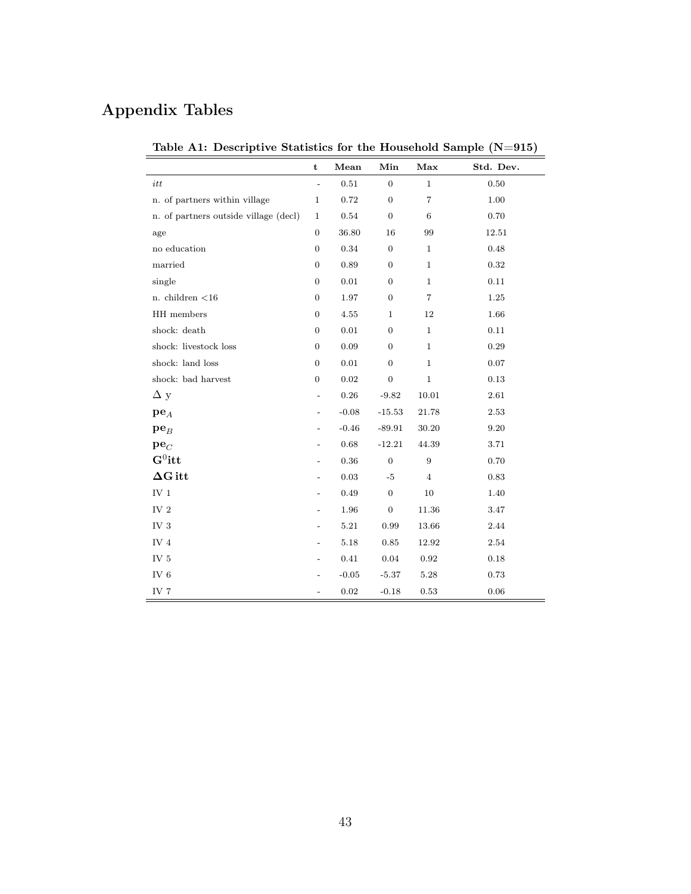# Appendix Tables

|                                       | $\mathbf t$      | Mean       | Min              | Max              | Std. Dev. |
|---------------------------------------|------------------|------------|------------------|------------------|-----------|
|                                       |                  |            |                  |                  |           |
| itt                                   | $\overline{a}$   | $0.51\,$   | $\overline{0}$   | $\mathbf{1}$     | 0.50      |
| n. of partners within village         | $\mathbf{1}$     | 0.72       | $\boldsymbol{0}$ | $\overline{7}$   | 1.00      |
| n. of partners outside village (decl) | $\mathbf 1$      | 0.54       | $\overline{0}$   | $\,6$            | 0.70      |
| age                                   | $\boldsymbol{0}$ | 36.80      | 16               | 99               | 12.51     |
| no education                          | $\overline{0}$   | 0.34       | $\boldsymbol{0}$ | $\mathbf{1}$     | 0.48      |
| married                               | $\boldsymbol{0}$ | 0.89       | $\boldsymbol{0}$ | $\mathbf{1}$     | 0.32      |
| single                                | $\boldsymbol{0}$ | 0.01       | $\boldsymbol{0}$ | $\mathbf{1}$     | 0.11      |
| n. children $<$ 16                    | $\overline{0}$   | 1.97       | $\boldsymbol{0}$ | 7                | 1.25      |
| HH members                            | $\boldsymbol{0}$ | 4.55       | $\mathbf{1}$     | 12               | 1.66      |
| shock: death                          | $\boldsymbol{0}$ | 0.01       | $\overline{0}$   | $\mathbf{1}$     | 0.11      |
| shock: livestock loss                 | $\boldsymbol{0}$ | 0.09       | $\overline{0}$   | $\mathbf{1}$     | 0.29      |
| shock: land loss                      | $\boldsymbol{0}$ | 0.01       | $\overline{0}$   | $\mathbf{1}$     | 0.07      |
| shock: bad harvest                    | $\overline{0}$   | $\rm 0.02$ | $\overline{0}$   | $\mathbf{1}$     | 0.13      |
| $\Delta y$                            |                  | $0.26\,$   | $-9.82$          | 10.01            | 2.61      |
| $pe_{A}$                              |                  | $-0.08$    | $-15.53$         | 21.78            | 2.53      |
| $pe_B$                                |                  | $-0.46$    | $-89.91$         | 30.20            | 9.20      |
| $pe_C$                                |                  | 0.68       | $-12.21$         | 44.39            | 3.71      |
| $\mathbf{G}^0$ itt                    |                  | $0.36\,$   | $\overline{0}$   | $\boldsymbol{9}$ | 0.70      |
| $\Delta G$ itt                        |                  | 0.03       | $-5$             | $\overline{4}$   | 0.83      |
| $\rm IV$ $1$                          |                  | 0.49       | $\overline{0}$   | 10               | 1.40      |
| IV $2$                                |                  | 1.96       | $\boldsymbol{0}$ | 11.36            | 3.47      |
| IV <sub>3</sub>                       |                  | $5.21\,$   | $\rm 0.99$       | 13.66            | 2.44      |
| IV $4$                                |                  | 5.18       | $\rm 0.85$       | 12.92            | 2.54      |
| IV <sub>5</sub>                       |                  | 0.41       | 0.04             | 0.92             | 0.18      |
| IV $6$                                |                  | $-0.05$    | $-5.37$          | 5.28             | 0.73      |
| IV <sub>7</sub>                       |                  | $\rm 0.02$ | $-0.18$          | 0.53             | 0.06      |

Table A1: Descriptive Statistics for the Household Sample (N=915)